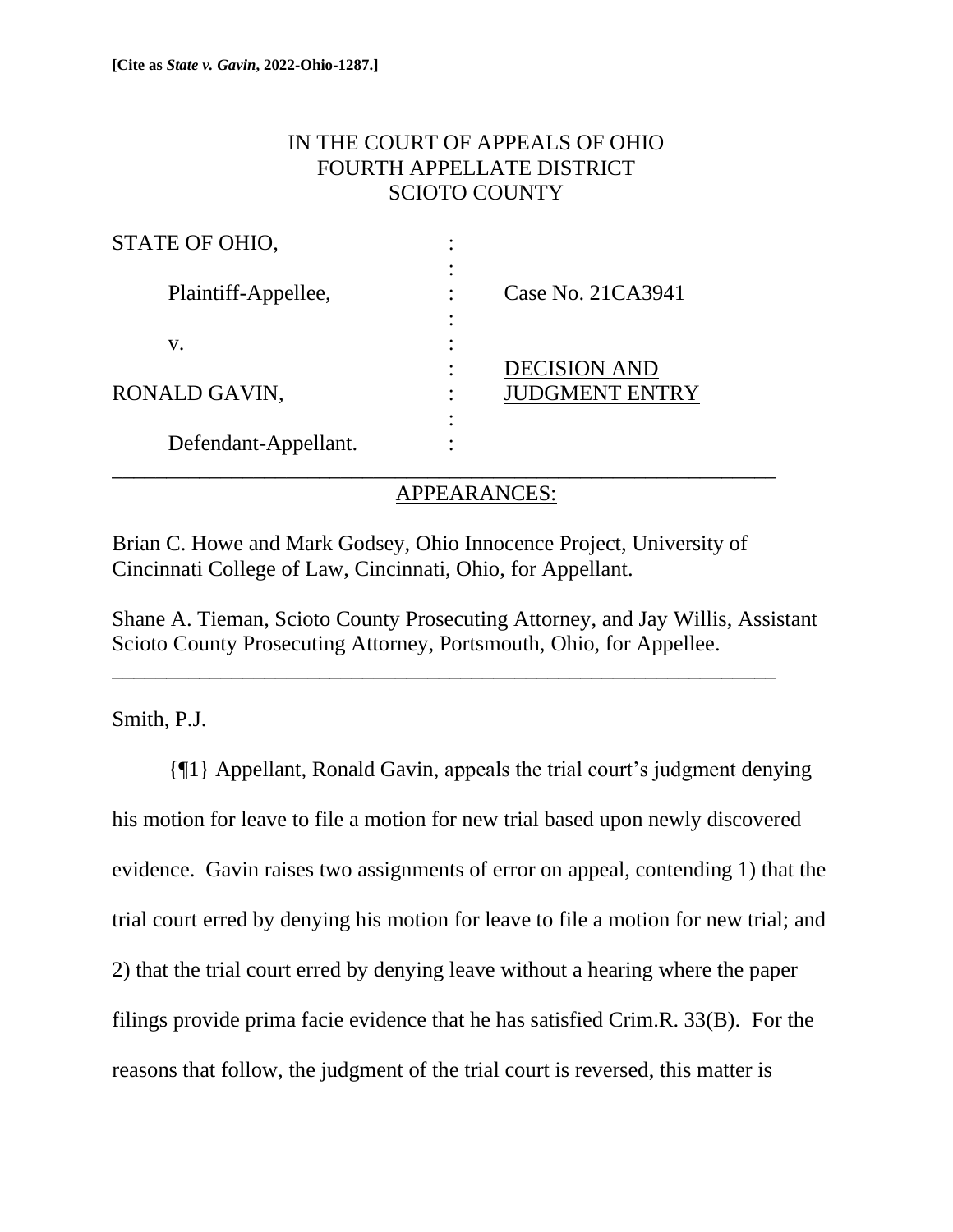# IN THE COURT OF APPEALS OF OHIO FOURTH APPELLATE DISTRICT SCIOTO COUNTY

| STATE OF OHIO,       |                                              |
|----------------------|----------------------------------------------|
| Plaintiff-Appellee,  | Case No. 21CA3941                            |
| V.                   |                                              |
| RONALD GAVIN,        | <b>DECISION AND</b><br><b>JUDGMENT ENTRY</b> |
| Defendant-Appellant. |                                              |

## APPEARANCES:

Brian C. Howe and Mark Godsey, Ohio Innocence Project, University of Cincinnati College of Law, Cincinnati, Ohio, for Appellant.

Shane A. Tieman, Scioto County Prosecuting Attorney, and Jay Willis, Assistant Scioto County Prosecuting Attorney, Portsmouth, Ohio, for Appellee.

\_\_\_\_\_\_\_\_\_\_\_\_\_\_\_\_\_\_\_\_\_\_\_\_\_\_\_\_\_\_\_\_\_\_\_\_\_\_\_\_\_\_\_\_\_\_\_\_\_\_\_\_\_\_\_\_\_\_\_\_\_

Smith, P.J.

{¶1} Appellant, Ronald Gavin, appeals the trial court's judgment denying his motion for leave to file a motion for new trial based upon newly discovered evidence. Gavin raises two assignments of error on appeal, contending 1) that the trial court erred by denying his motion for leave to file a motion for new trial; and 2) that the trial court erred by denying leave without a hearing where the paper filings provide prima facie evidence that he has satisfied Crim.R. 33(B). For the reasons that follow, the judgment of the trial court is reversed, this matter is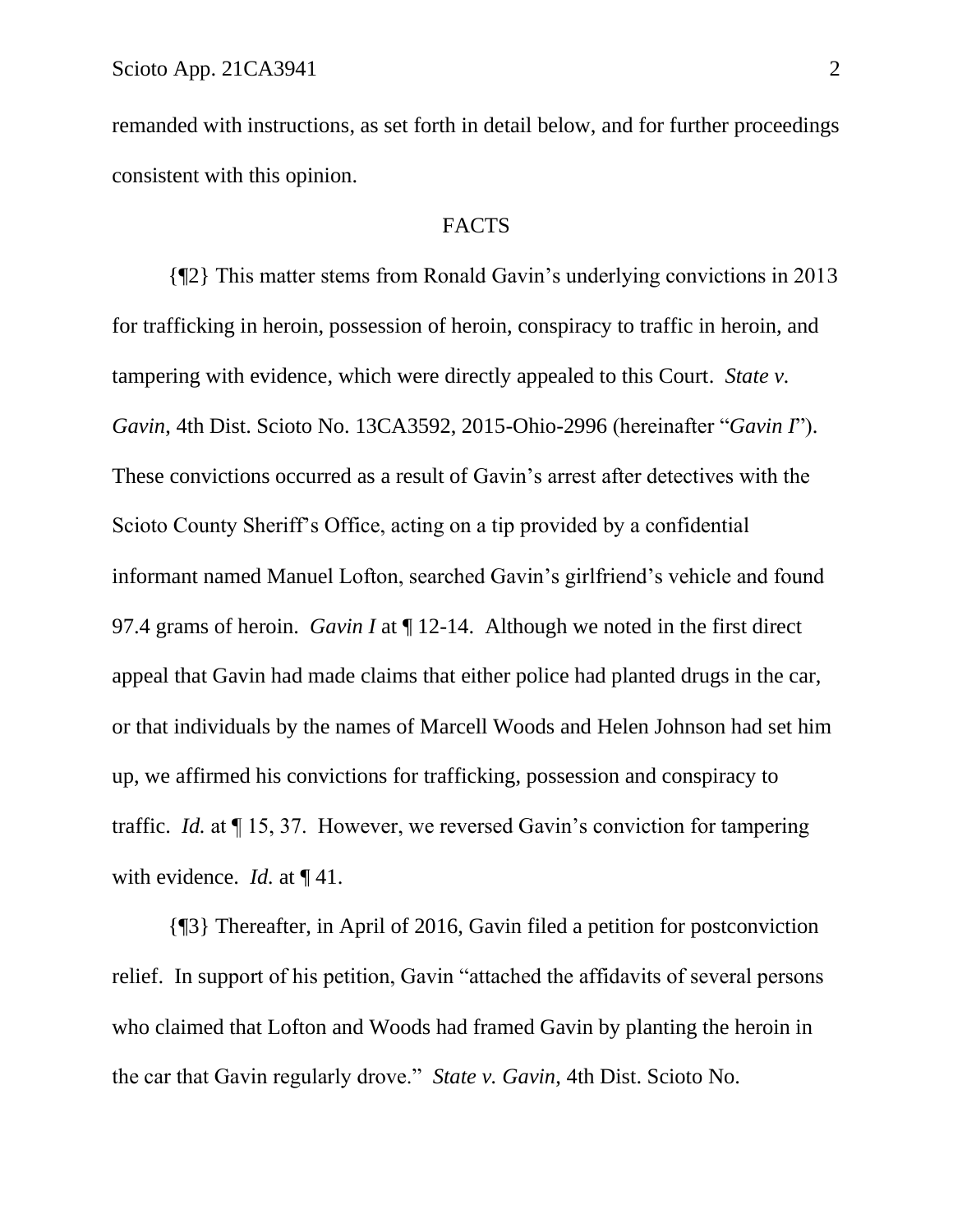remanded with instructions, as set forth in detail below, and for further proceedings consistent with this opinion.

## **FACTS**

{¶2} This matter stems from Ronald Gavin's underlying convictions in 2013 for trafficking in heroin, possession of heroin, conspiracy to traffic in heroin, and tampering with evidence, which were directly appealed to this Court. *State v. Gavin*, 4th Dist. Scioto No. 13CA3592, 2015-Ohio-2996 (hereinafter "*Gavin I*"). These convictions occurred as a result of Gavin's arrest after detectives with the Scioto County Sheriff's Office, acting on a tip provided by a confidential informant named Manuel Lofton, searched Gavin's girlfriend's vehicle and found 97.4 grams of heroin. *Gavin I* at ¶ 12-14. Although we noted in the first direct appeal that Gavin had made claims that either police had planted drugs in the car, or that individuals by the names of Marcell Woods and Helen Johnson had set him up, we affirmed his convictions for trafficking, possession and conspiracy to traffic. *Id.* at ¶ 15, 37. However, we reversed Gavin's conviction for tampering with evidence. *Id.* at ¶ 41.

{¶3} Thereafter, in April of 2016, Gavin filed a petition for postconviction relief. In support of his petition, Gavin "attached the affidavits of several persons who claimed that Lofton and Woods had framed Gavin by planting the heroin in the car that Gavin regularly drove." *State v. Gavin*, 4th Dist. Scioto No.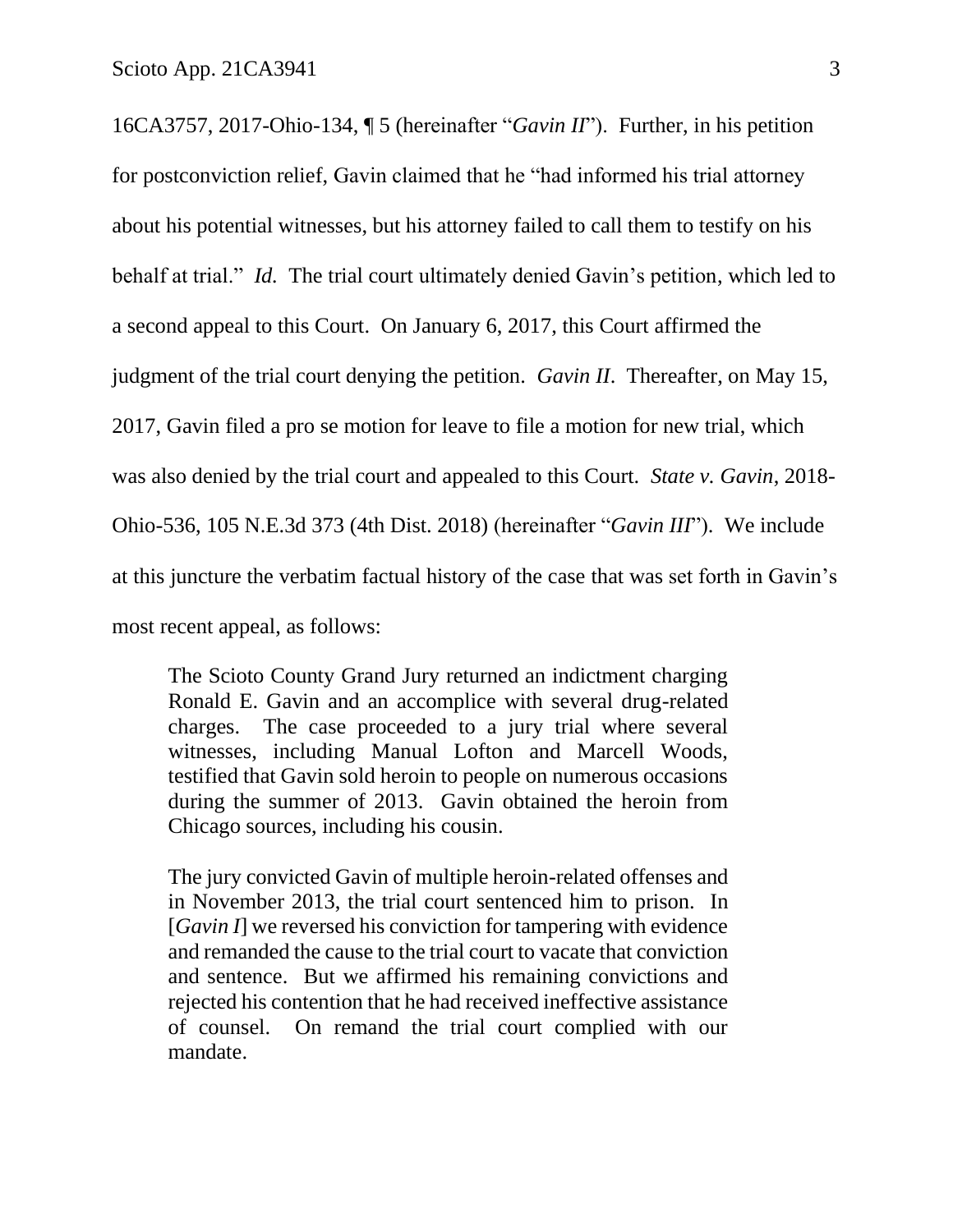16CA3757, 2017-Ohio-134, ¶ 5 (hereinafter "*Gavin II*"). Further, in his petition for postconviction relief, Gavin claimed that he "had informed his trial attorney about his potential witnesses, but his attorney failed to call them to testify on his behalf at trial." *Id.* The trial court ultimately denied Gavin's petition, which led to a second appeal to this Court. On January 6, 2017, this Court affirmed the judgment of the trial court denying the petition. *Gavin II*. Thereafter, on May 15, 2017, Gavin filed a pro se motion for leave to file a motion for new trial, which was also denied by the trial court and appealed to this Court. *State v. Gavin*, 2018- Ohio-536, 105 N.E.3d 373 (4th Dist. 2018) (hereinafter "*Gavin III*"). We include at this juncture the verbatim factual history of the case that was set forth in Gavin's most recent appeal, as follows:

The Scioto County Grand Jury returned an indictment charging Ronald E. Gavin and an accomplice with several drug-related charges. The case proceeded to a jury trial where several witnesses, including Manual Lofton and Marcell Woods, testified that Gavin sold heroin to people on numerous occasions during the summer of 2013. Gavin obtained the heroin from Chicago sources, including his cousin.

The jury convicted Gavin of multiple heroin-related offenses and in November 2013, the trial court sentenced him to prison. In [*Gavin I*] we reversed his conviction for tampering with evidence and remanded the cause to the trial court to vacate that conviction and sentence. But we affirmed his remaining convictions and rejected his contention that he had received ineffective assistance of counsel. On remand the trial court complied with our mandate.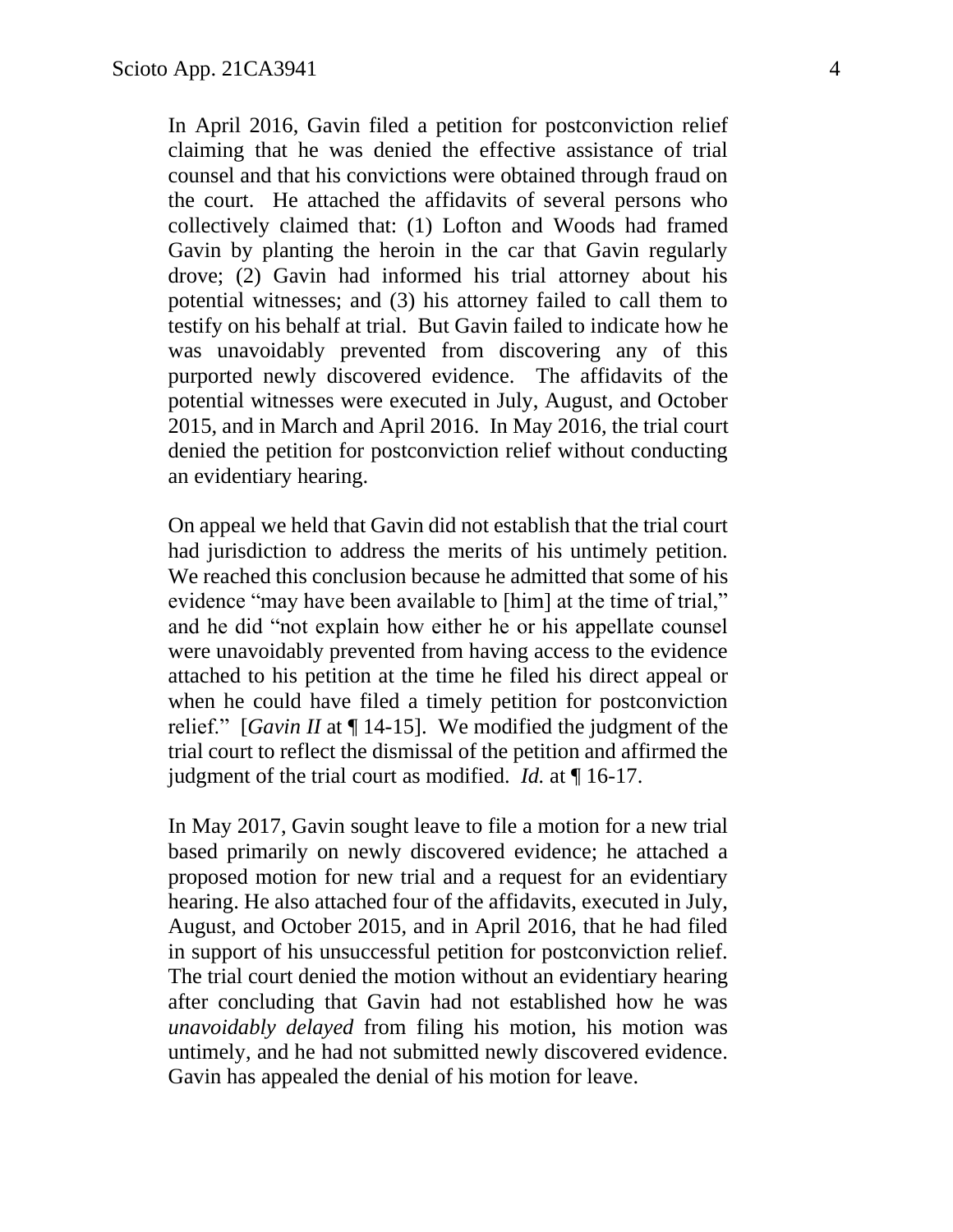In April 2016, Gavin filed a petition for postconviction relief claiming that he was denied the effective assistance of trial counsel and that his convictions were obtained through fraud on the court. He attached the affidavits of several persons who collectively claimed that: (1) Lofton and Woods had framed Gavin by planting the heroin in the car that Gavin regularly drove; (2) Gavin had informed his trial attorney about his potential witnesses; and (3) his attorney failed to call them to testify on his behalf at trial. But Gavin failed to indicate how he was unavoidably prevented from discovering any of this purported newly discovered evidence. The affidavits of the potential witnesses were executed in July, August, and October 2015, and in March and April 2016. In May 2016, the trial court denied the petition for postconviction relief without conducting an evidentiary hearing.

On appeal we held that Gavin did not establish that the trial court had jurisdiction to address the merits of his untimely petition. We reached this conclusion because he admitted that some of his evidence "may have been available to [him] at the time of trial," and he did "not explain how either he or his appellate counsel were unavoidably prevented from having access to the evidence attached to his petition at the time he filed his direct appeal or when he could have filed a timely petition for postconviction relief." [*Gavin II* at ¶ 14-15]. We modified the judgment of the trial court to reflect the dismissal of the petition and affirmed the judgment of the trial court as modified. *Id.* at ¶ 16-17.

In May 2017, Gavin sought leave to file a motion for a new trial based primarily on newly discovered evidence; he attached a proposed motion for new trial and a request for an evidentiary hearing. He also attached four of the affidavits, executed in July, August, and October 2015, and in April 2016, that he had filed in support of his unsuccessful petition for postconviction relief. The trial court denied the motion without an evidentiary hearing after concluding that Gavin had not established how he was *unavoidably delayed* from filing his motion, his motion was untimely, and he had not submitted newly discovered evidence. Gavin has appealed the denial of his motion for leave.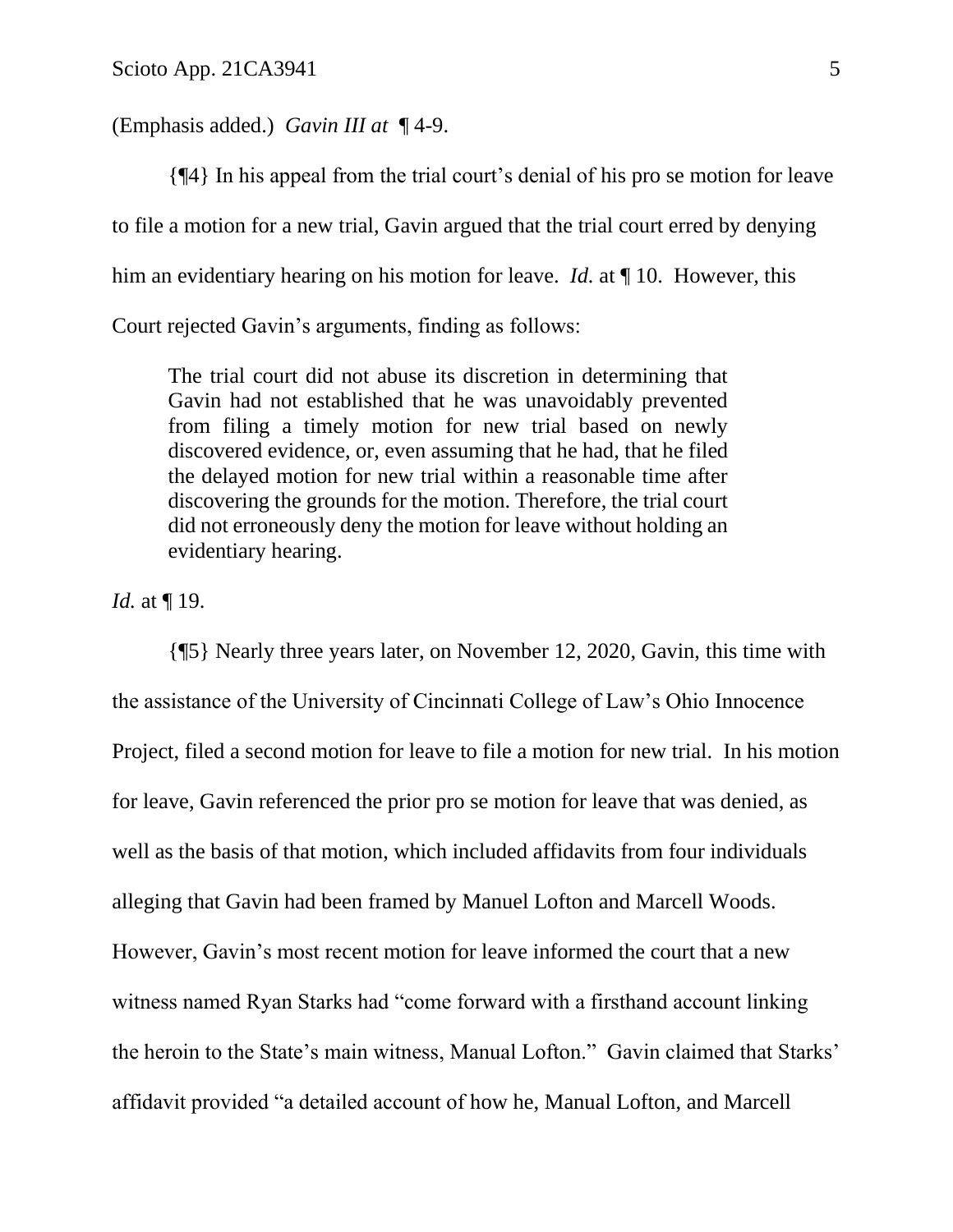#### (Emphasis added.) *Gavin III at* ¶ 4-9.

{¶4} In his appeal from the trial court's denial of his pro se motion for leave to file a motion for a new trial, Gavin argued that the trial court erred by denying him an evidentiary hearing on his motion for leave. *Id.* at ¶ 10. However, this Court rejected Gavin's arguments, finding as follows:

The trial court did not abuse its discretion in determining that Gavin had not established that he was unavoidably prevented from filing a timely motion for new trial based on newly discovered evidence, or, even assuming that he had, that he filed the delayed motion for new trial within a reasonable time after discovering the grounds for the motion. Therefore, the trial court did not erroneously deny the motion for leave without holding an evidentiary hearing.

*Id.* at ¶ 19.

{¶5} Nearly three years later, on November 12, 2020, Gavin, this time with the assistance of the University of Cincinnati College of Law's Ohio Innocence Project, filed a second motion for leave to file a motion for new trial. In his motion for leave, Gavin referenced the prior pro se motion for leave that was denied, as well as the basis of that motion, which included affidavits from four individuals alleging that Gavin had been framed by Manuel Lofton and Marcell Woods. However, Gavin's most recent motion for leave informed the court that a new witness named Ryan Starks had "come forward with a firsthand account linking the heroin to the State's main witness, Manual Lofton." Gavin claimed that Starks' affidavit provided "a detailed account of how he, Manual Lofton, and Marcell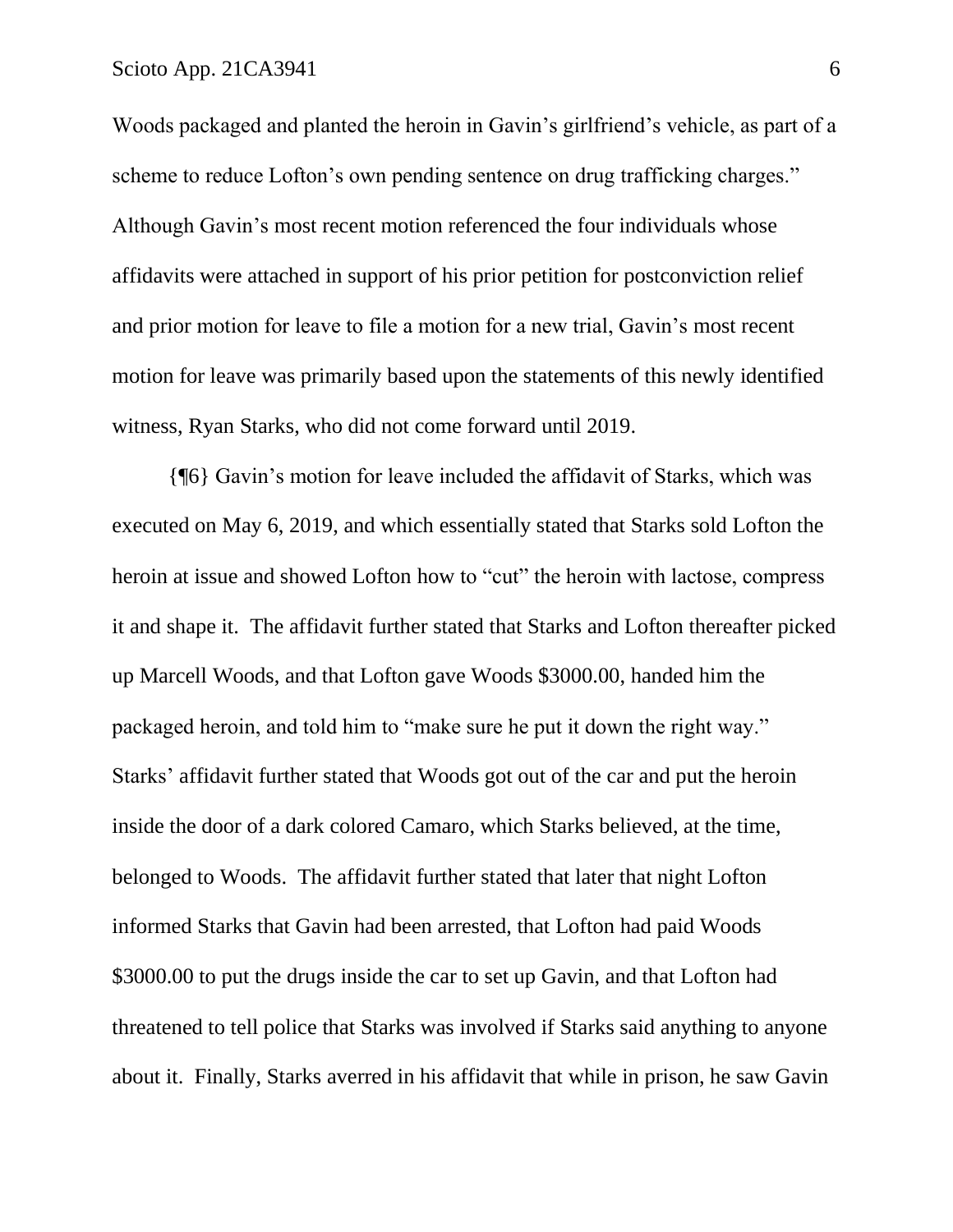Woods packaged and planted the heroin in Gavin's girlfriend's vehicle, as part of a scheme to reduce Lofton's own pending sentence on drug trafficking charges." Although Gavin's most recent motion referenced the four individuals whose affidavits were attached in support of his prior petition for postconviction relief and prior motion for leave to file a motion for a new trial, Gavin's most recent motion for leave was primarily based upon the statements of this newly identified witness, Ryan Starks, who did not come forward until 2019.

{¶6} Gavin's motion for leave included the affidavit of Starks, which was executed on May 6, 2019, and which essentially stated that Starks sold Lofton the heroin at issue and showed Lofton how to "cut" the heroin with lactose, compress it and shape it. The affidavit further stated that Starks and Lofton thereafter picked up Marcell Woods, and that Lofton gave Woods \$3000.00, handed him the packaged heroin, and told him to "make sure he put it down the right way." Starks' affidavit further stated that Woods got out of the car and put the heroin inside the door of a dark colored Camaro, which Starks believed, at the time, belonged to Woods. The affidavit further stated that later that night Lofton informed Starks that Gavin had been arrested, that Lofton had paid Woods \$3000.00 to put the drugs inside the car to set up Gavin, and that Lofton had threatened to tell police that Starks was involved if Starks said anything to anyone about it. Finally, Starks averred in his affidavit that while in prison, he saw Gavin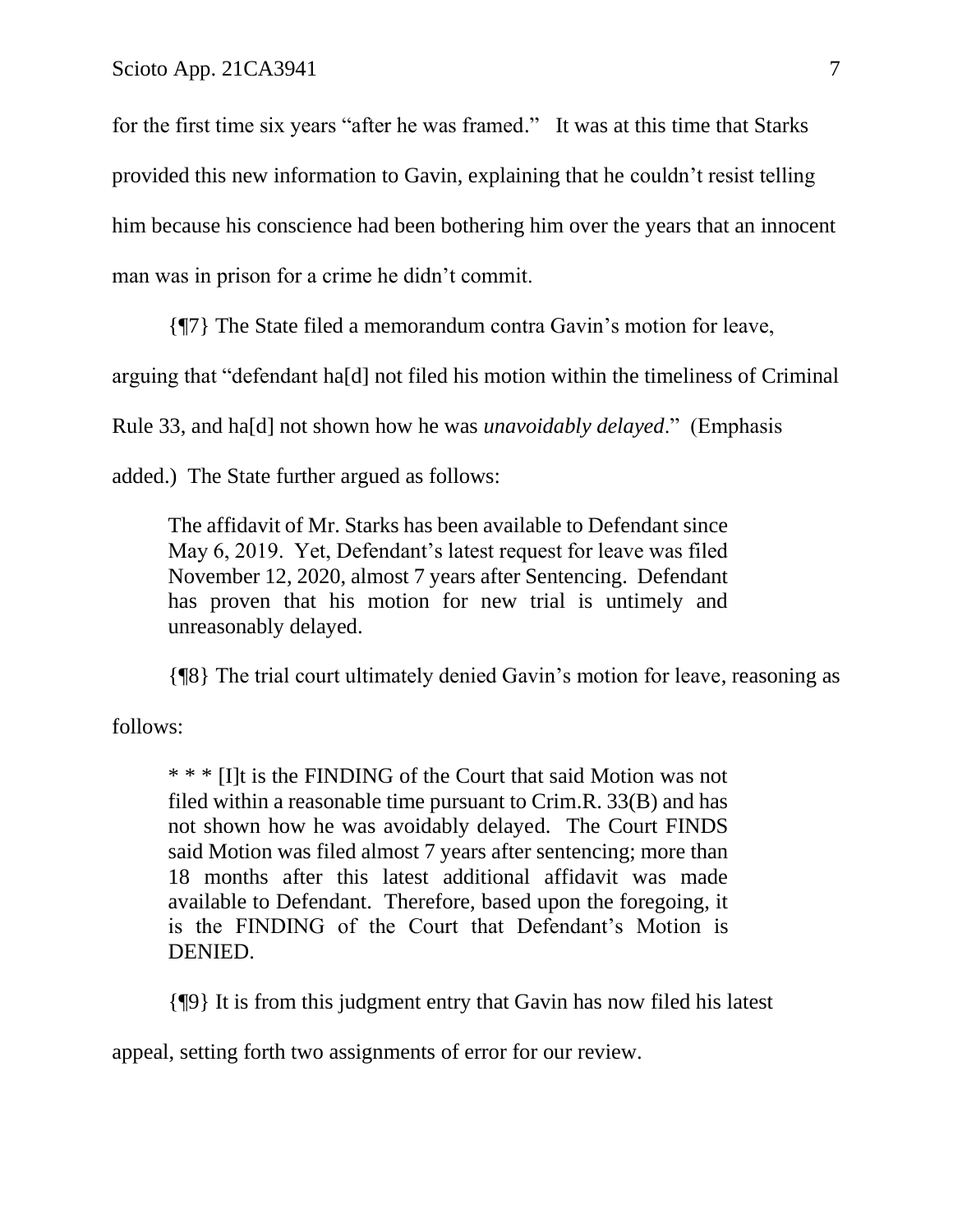for the first time six years "after he was framed." It was at this time that Starks provided this new information to Gavin, explaining that he couldn't resist telling him because his conscience had been bothering him over the years that an innocent man was in prison for a crime he didn't commit.

{¶7} The State filed a memorandum contra Gavin's motion for leave,

arguing that "defendant ha[d] not filed his motion within the timeliness of Criminal

Rule 33, and ha[d] not shown how he was *unavoidably delayed*." (Emphasis

added.) The State further argued as follows:

The affidavit of Mr. Starks has been available to Defendant since May 6, 2019. Yet, Defendant's latest request for leave was filed November 12, 2020, almost 7 years after Sentencing. Defendant has proven that his motion for new trial is untimely and unreasonably delayed.

{¶8} The trial court ultimately denied Gavin's motion for leave, reasoning as

follows:

\* \* \* [I]t is the FINDING of the Court that said Motion was not filed within a reasonable time pursuant to Crim.R. 33(B) and has not shown how he was avoidably delayed. The Court FINDS said Motion was filed almost 7 years after sentencing; more than 18 months after this latest additional affidavit was made available to Defendant. Therefore, based upon the foregoing, it is the FINDING of the Court that Defendant's Motion is DENIED.

{¶9} It is from this judgment entry that Gavin has now filed his latest

appeal, setting forth two assignments of error for our review.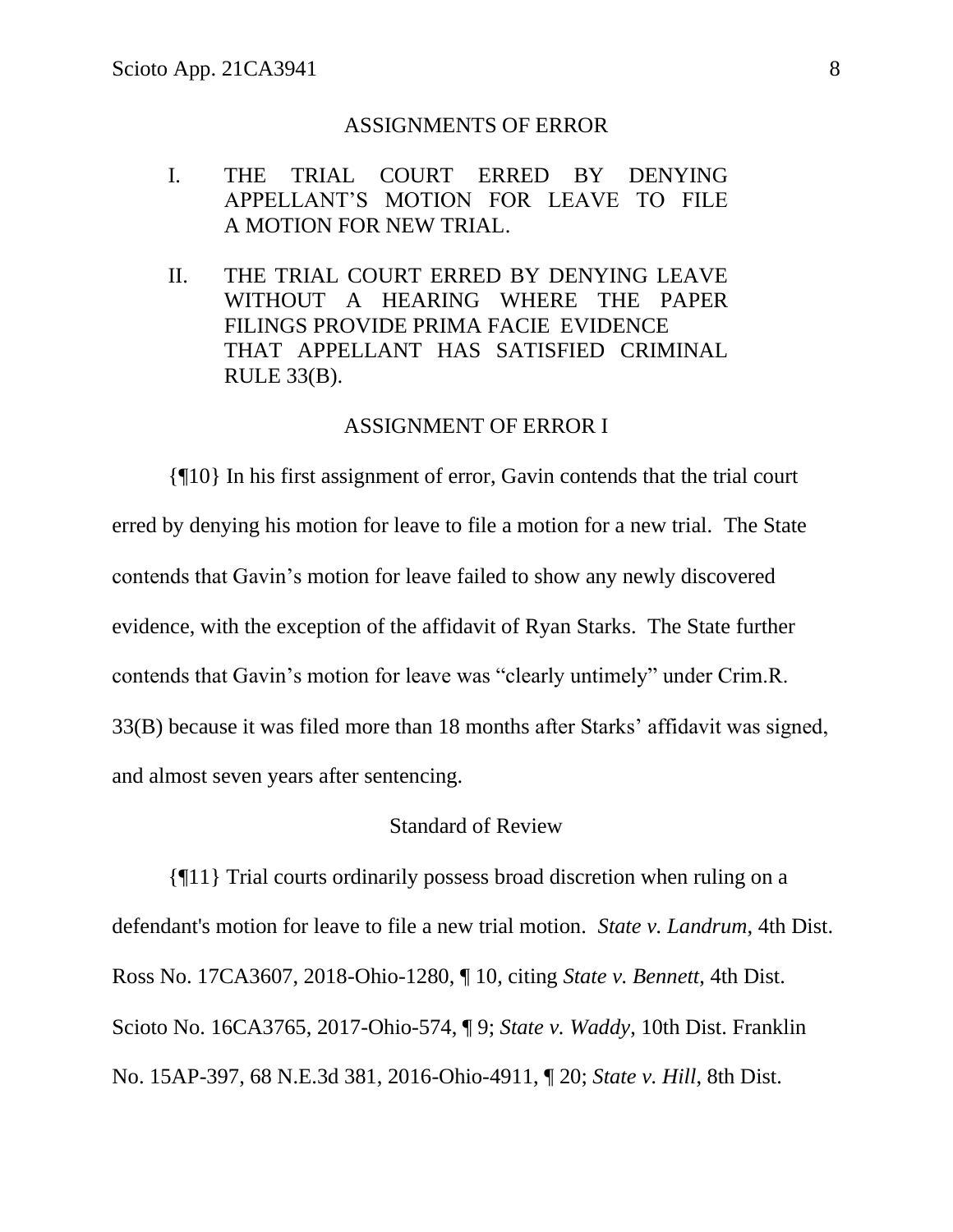#### ASSIGNMENTS OF ERROR

- I. THE TRIAL COURT ERRED BY DENYING APPELLANT'S MOTION FOR LEAVE TO FILE A MOTION FOR NEW TRIAL.
- II. THE TRIAL COURT ERRED BY DENYING LEAVE WITHOUT A HEARING WHERE THE PAPER FILINGS PROVIDE PRIMA FACIE EVIDENCE THAT APPELLANT HAS SATISFIED CRIMINAL RULE 33(B).

## ASSIGNMENT OF ERROR I

{¶10} In his first assignment of error, Gavin contends that the trial court erred by denying his motion for leave to file a motion for a new trial. The State contends that Gavin's motion for leave failed to show any newly discovered evidence, with the exception of the affidavit of Ryan Starks. The State further contends that Gavin's motion for leave was "clearly untimely" under Crim.R. 33(B) because it was filed more than 18 months after Starks' affidavit was signed, and almost seven years after sentencing.

# Standard of Review

{¶11} Trial courts ordinarily possess broad discretion when ruling on a defendant's motion for leave to file a new trial motion. *State v. Landrum*, 4th Dist. Ross No. 17CA3607, 2018-Ohio-1280, ¶ 10, citing *State v. Bennett*, 4th Dist. Scioto No. 16CA3765, 2017-Ohio-574, ¶ 9; *State v. Waddy*, 10th Dist. Franklin No. 15AP-397, 68 N.E.3d 381, 2016-Ohio-4911, ¶ 20; *State v. Hill*, 8th Dist.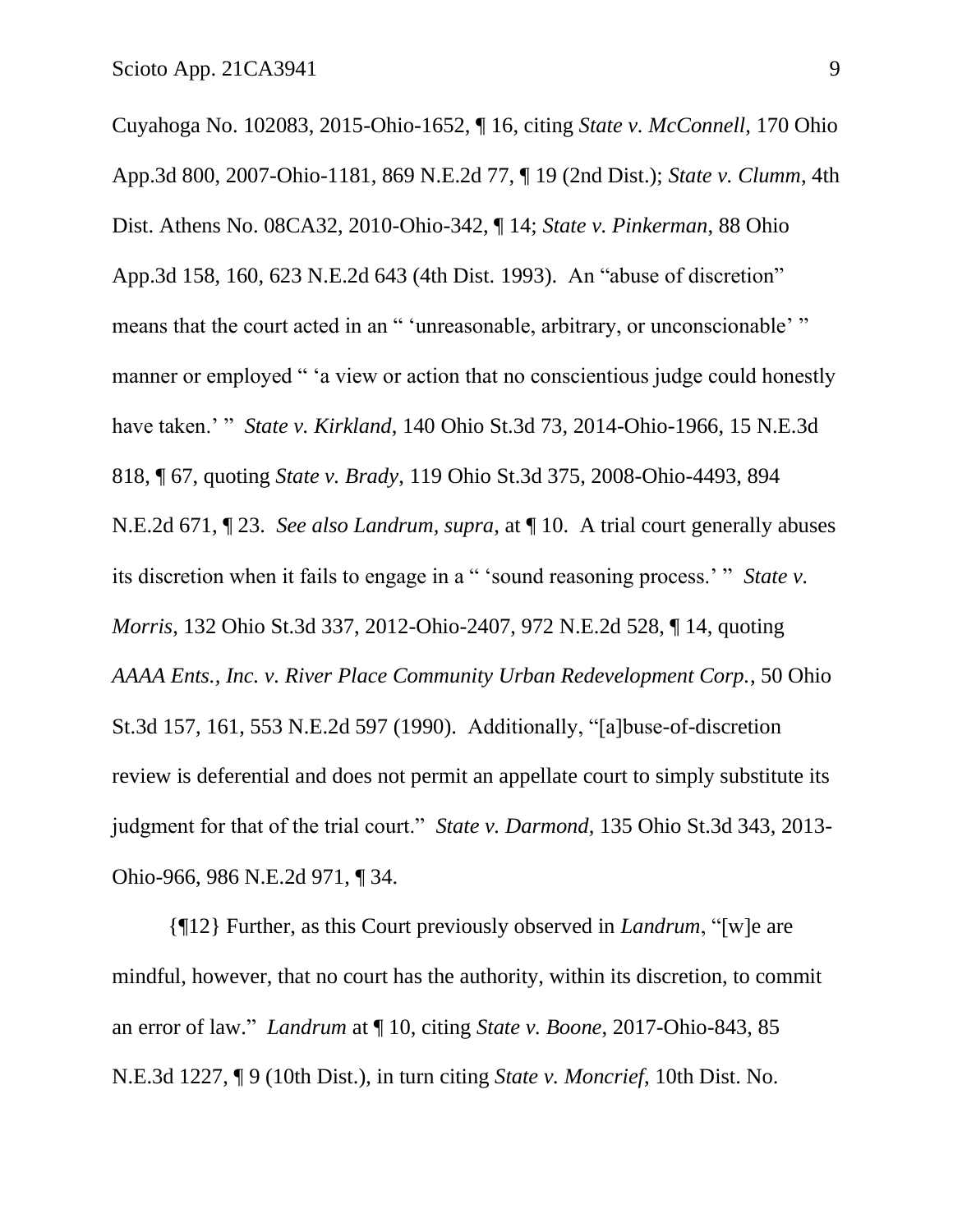Cuyahoga No. 102083, 2015-Ohio-1652, ¶ 16, citing *State v. McConnell*, 170 Ohio App.3d 800, 2007-Ohio-1181, 869 N.E.2d 77, ¶ 19 (2nd Dist.); *State v. Clumm*, 4th Dist. Athens No. 08CA32, 2010-Ohio-342, ¶ 14; *State v. Pinkerman*, 88 Ohio App.3d 158, 160, 623 N.E.2d 643 (4th Dist. 1993). An "abuse of discretion" means that the court acted in an " 'unreasonable, arbitrary, or unconscionable' " manner or employed " 'a view or action that no conscientious judge could honestly have taken.' " *State v. Kirkland*, 140 Ohio St.3d 73, 2014-Ohio-1966, 15 N.E.3d 818, ¶ 67, quoting *State v. Brady*, 119 Ohio St.3d 375, 2008-Ohio-4493, 894 N.E.2d 671, ¶ 23. *See also Landrum, supra*, at ¶ 10. A trial court generally abuses its discretion when it fails to engage in a " 'sound reasoning process.' " *State v. Morris*, 132 Ohio St.3d 337, 2012-Ohio-2407, 972 N.E.2d 528, ¶ 14, quoting *AAAA Ents., Inc. v. River Place Community Urban Redevelopment Corp.*, 50 Ohio St.3d 157, 161, 553 N.E.2d 597 (1990). Additionally, "[a]buse-of-discretion review is deferential and does not permit an appellate court to simply substitute its judgment for that of the trial court." *State v. Darmond*, 135 Ohio St.3d 343, 2013- Ohio-966, 986 N.E.2d 971, ¶ 34.

{¶12} Further, as this Court previously observed in *Landrum*, "[w]e are mindful, however, that no court has the authority, within its discretion, to commit an error of law." *Landrum* at ¶ 10, citing *State v. Boone*, 2017-Ohio-843, 85 N.E.3d 1227, ¶ 9 (10th Dist.), in turn citing *State v. Moncrief*, 10th Dist. No.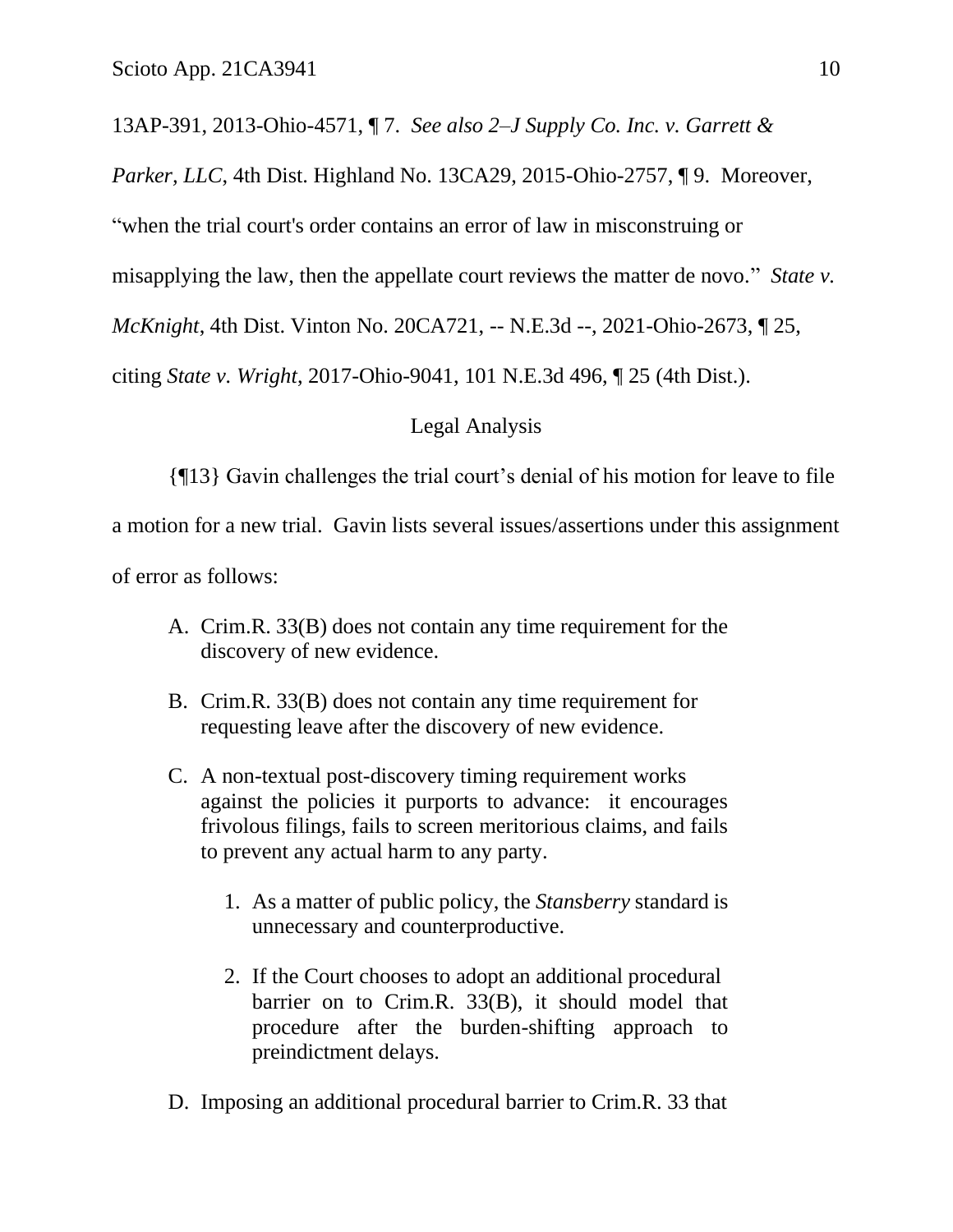13AP-391, 2013-Ohio-4571, ¶ 7. *See also 2–J Supply Co. Inc. v. Garrett &* 

*Parker, LLC*, 4th Dist. Highland No. 13CA29, 2015-Ohio-2757, ¶ 9. Moreover,

"when the trial court's order contains an error of law in misconstruing or

misapplying the law, then the appellate court reviews the matter de novo." *State v.* 

*McKnight*, 4th Dist. Vinton No. 20CA721, -- N.E.3d --, 2021-Ohio-2673, ¶ 25,

citing *State v. Wright*, 2017-Ohio-9041, 101 N.E.3d 496, ¶ 25 (4th Dist.).

# Legal Analysis

{¶13} Gavin challenges the trial court's denial of his motion for leave to file

a motion for a new trial. Gavin lists several issues/assertions under this assignment

of error as follows:

- A. Crim.R. 33(B) does not contain any time requirement for the discovery of new evidence.
- B. Crim.R. 33(B) does not contain any time requirement for requesting leave after the discovery of new evidence.
- C. A non-textual post-discovery timing requirement works against the policies it purports to advance: it encourages frivolous filings, fails to screen meritorious claims, and fails to prevent any actual harm to any party.
	- 1. As a matter of public policy, the *Stansberry* standard is unnecessary and counterproductive.
	- 2. If the Court chooses to adopt an additional procedural barrier on to Crim.R. 33(B), it should model that procedure after the burden-shifting approach to preindictment delays.
- D. Imposing an additional procedural barrier to Crim.R. 33 that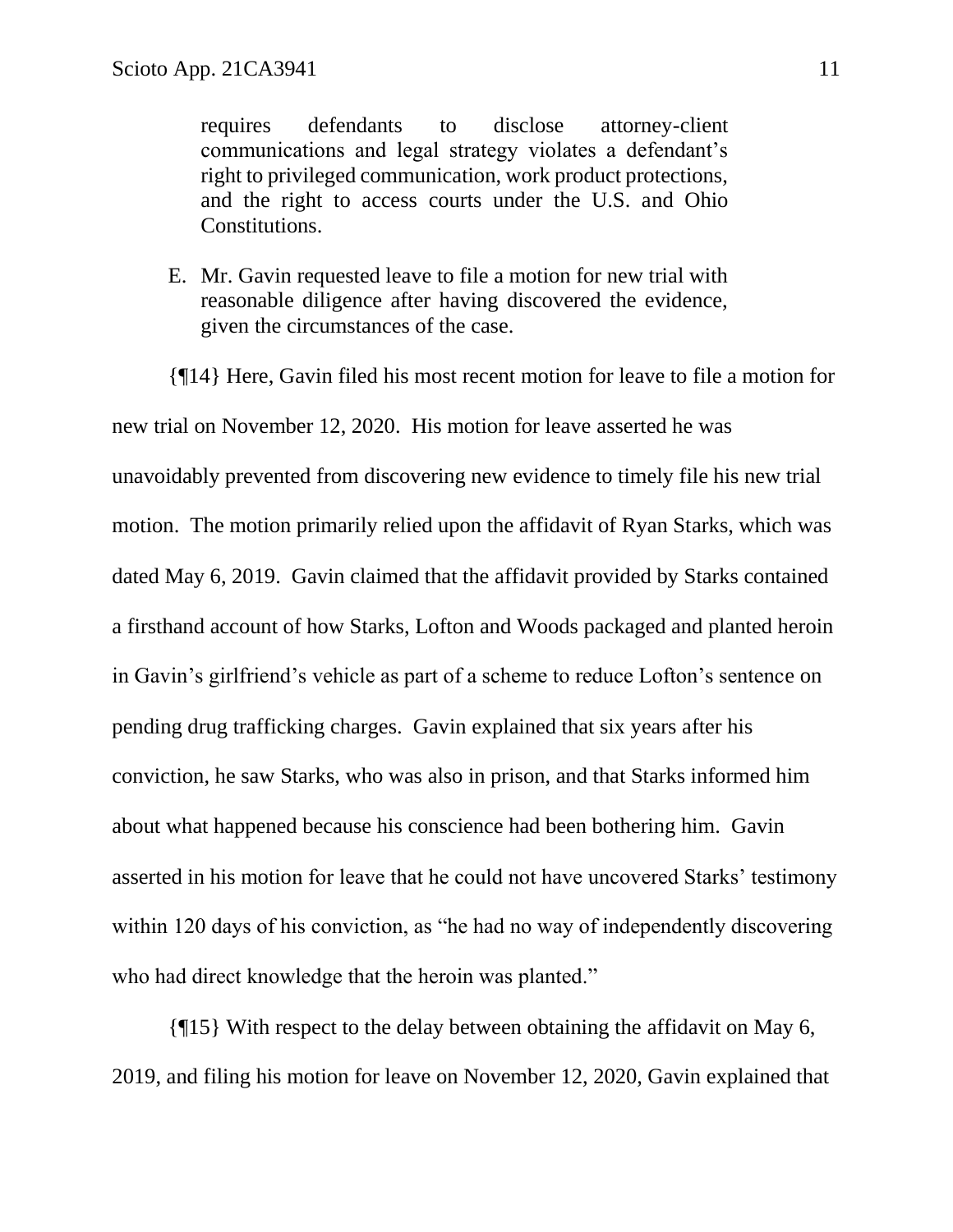requires defendants to disclose attorney-client communications and legal strategy violates a defendant's right to privileged communication, work product protections, and the right to access courts under the U.S. and Ohio Constitutions.

E. Mr. Gavin requested leave to file a motion for new trial with reasonable diligence after having discovered the evidence, given the circumstances of the case.

{¶14} Here, Gavin filed his most recent motion for leave to file a motion for new trial on November 12, 2020. His motion for leave asserted he was unavoidably prevented from discovering new evidence to timely file his new trial motion. The motion primarily relied upon the affidavit of Ryan Starks, which was dated May 6, 2019. Gavin claimed that the affidavit provided by Starks contained a firsthand account of how Starks, Lofton and Woods packaged and planted heroin in Gavin's girlfriend's vehicle as part of a scheme to reduce Lofton's sentence on pending drug trafficking charges. Gavin explained that six years after his conviction, he saw Starks, who was also in prison, and that Starks informed him about what happened because his conscience had been bothering him. Gavin asserted in his motion for leave that he could not have uncovered Starks' testimony within 120 days of his conviction, as "he had no way of independently discovering who had direct knowledge that the heroin was planted."

{¶15} With respect to the delay between obtaining the affidavit on May 6, 2019, and filing his motion for leave on November 12, 2020, Gavin explained that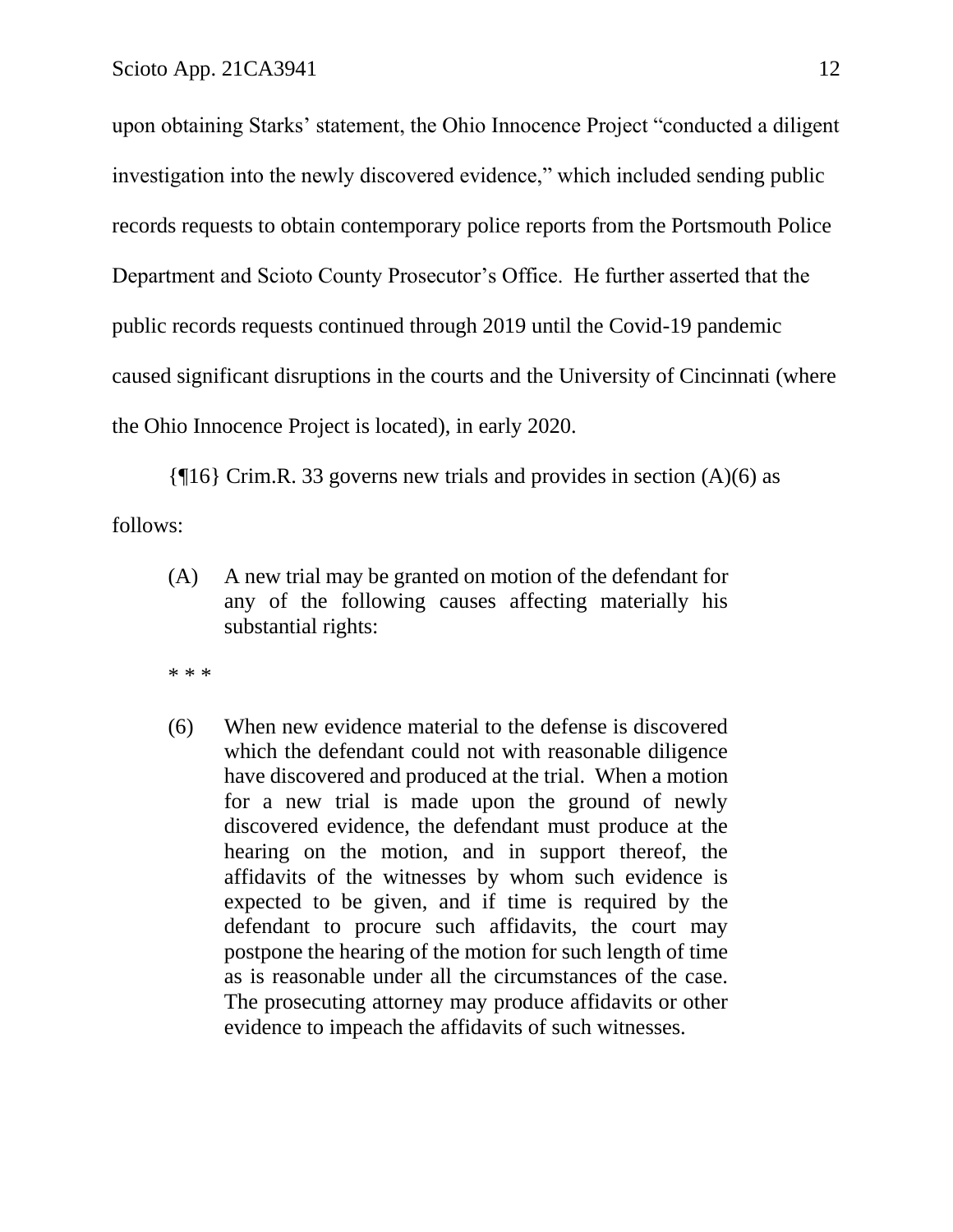upon obtaining Starks' statement, the Ohio Innocence Project "conducted a diligent investigation into the newly discovered evidence," which included sending public records requests to obtain contemporary police reports from the Portsmouth Police Department and Scioto County Prosecutor's Office. He further asserted that the public records requests continued through 2019 until the Covid-19 pandemic caused significant disruptions in the courts and the University of Cincinnati (where the Ohio Innocence Project is located), in early 2020.

 $\{\P16\}$  Crim.R. 33 governs new trials and provides in section (A)(6) as follows:

(A) A new trial may be granted on motion of the defendant for any of the following causes affecting materially his substantial rights:

\* \* \*

(6) When new evidence material to the defense is discovered which the defendant could not with reasonable diligence have discovered and produced at the trial. When a motion for a new trial is made upon the ground of newly discovered evidence, the defendant must produce at the hearing on the motion, and in support thereof, the affidavits of the witnesses by whom such evidence is expected to be given, and if time is required by the defendant to procure such affidavits, the court may postpone the hearing of the motion for such length of time as is reasonable under all the circumstances of the case. The prosecuting attorney may produce affidavits or other evidence to impeach the affidavits of such witnesses.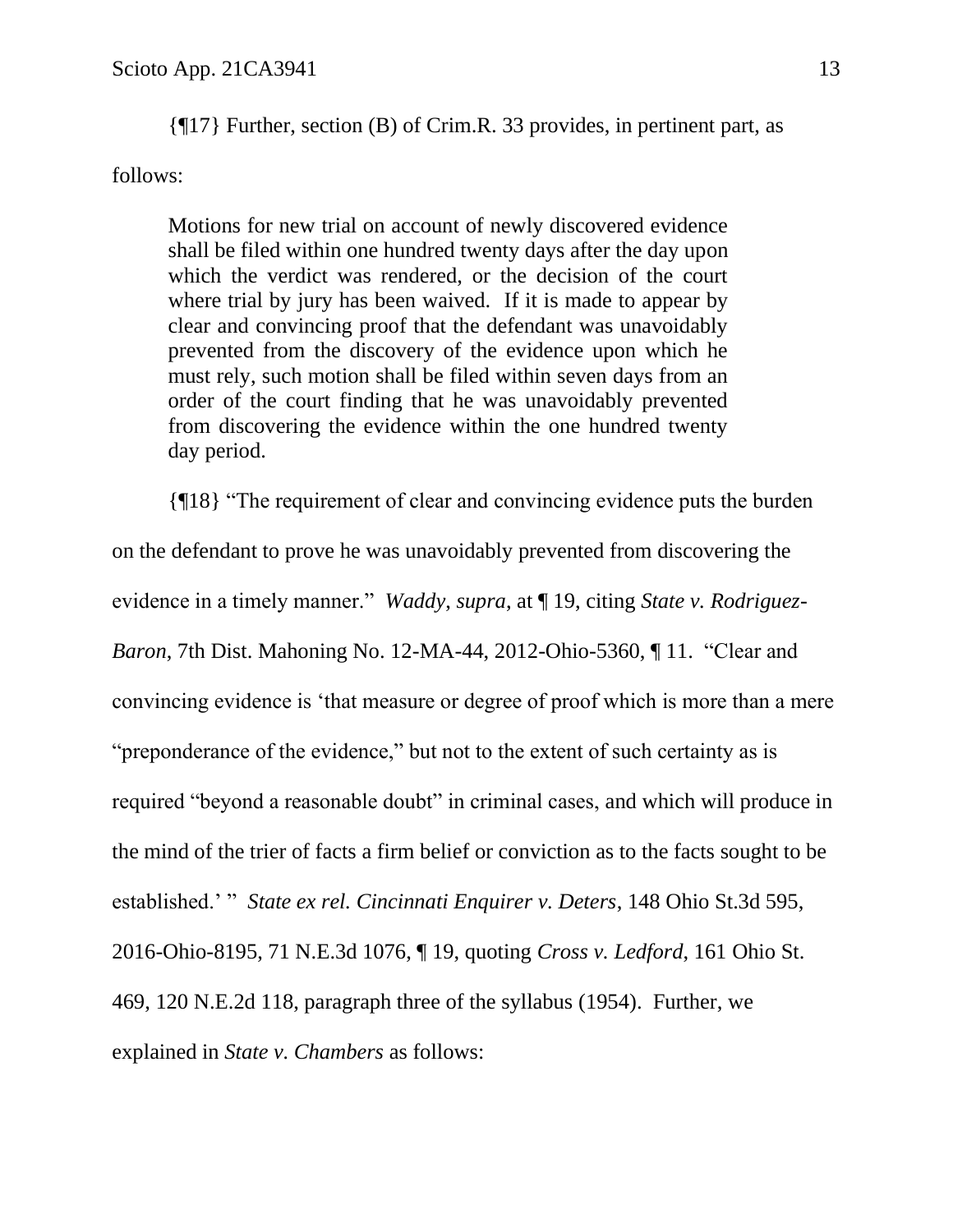{¶17} Further, section (B) of Crim.R. 33 provides, in pertinent part, as

follows:

Motions for new trial on account of newly discovered evidence shall be filed within one hundred twenty days after the day upon which the verdict was rendered, or the decision of the court where trial by jury has been waived. If it is made to appear by clear and convincing proof that the defendant was unavoidably prevented from the discovery of the evidence upon which he must rely, such motion shall be filed within seven days from an order of the court finding that he was unavoidably prevented from discovering the evidence within the one hundred twenty day period.

{¶18} "The requirement of clear and convincing evidence puts the burden on the defendant to prove he was unavoidably prevented from discovering the evidence in a timely manner." *Waddy*, *supra*, at ¶ 19, citing *State v. Rodriguez-Baron*, 7th Dist. Mahoning No. 12-MA-44, 2012-Ohio-5360, ¶ 11. "Clear and convincing evidence is 'that measure or degree of proof which is more than a mere "preponderance of the evidence," but not to the extent of such certainty as is required "beyond a reasonable doubt" in criminal cases, and which will produce in the mind of the trier of facts a firm belief or conviction as to the facts sought to be established.' " *State ex rel. Cincinnati Enquirer v. Deters*, 148 Ohio St.3d 595, 2016-Ohio-8195, 71 N.E.3d 1076, ¶ 19, quoting *Cross v. Ledford*, 161 Ohio St. 469, 120 N.E.2d 118, paragraph three of the syllabus (1954). Further, we explained in *State v. Chambers* as follows: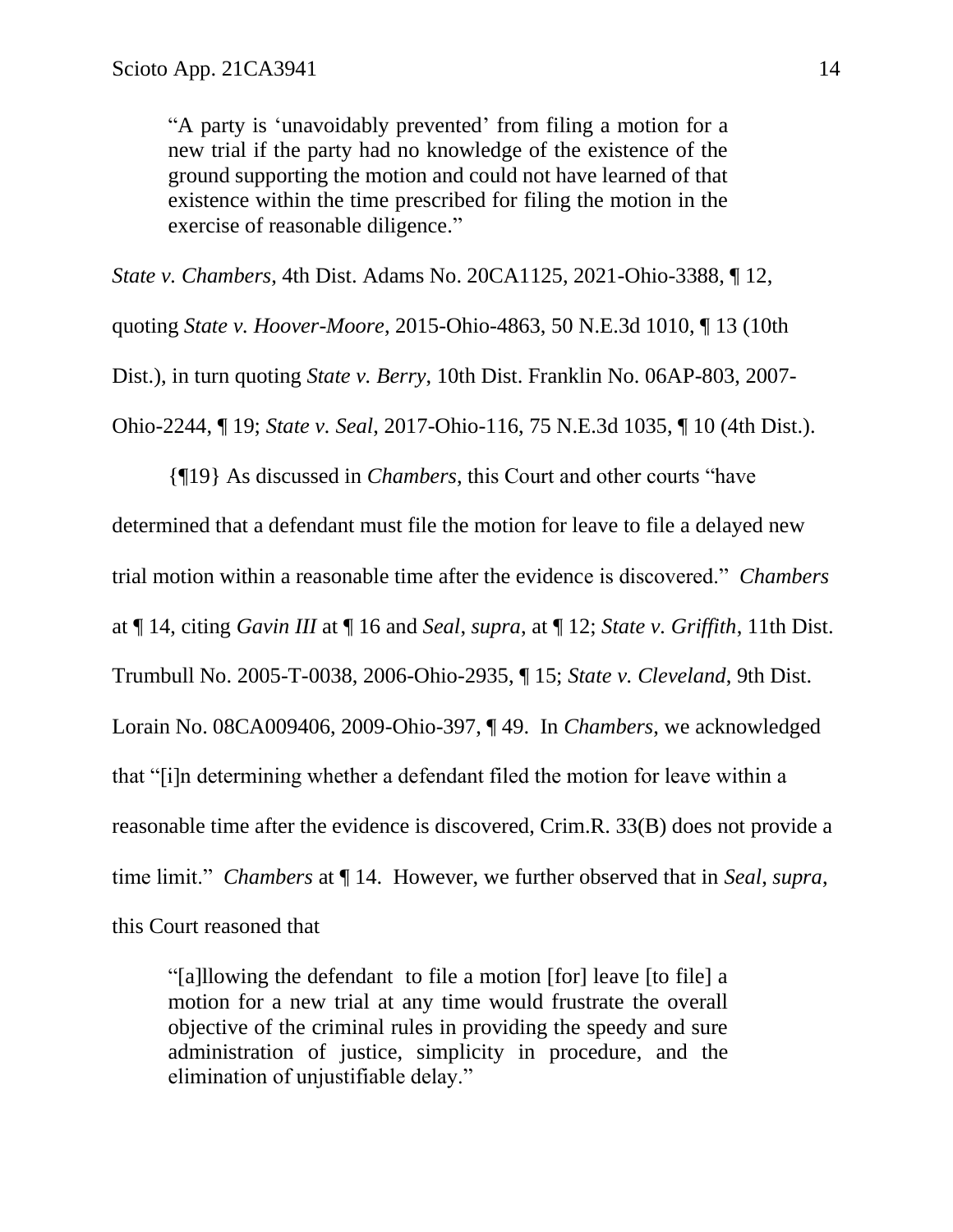"A party is 'unavoidably prevented' from filing a motion for a new trial if the party had no knowledge of the existence of the ground supporting the motion and could not have learned of that existence within the time prescribed for filing the motion in the exercise of reasonable diligence."

*State v. Chambers*, 4th Dist. Adams No. 20CA1125, 2021-Ohio-3388, ¶ 12, quoting *State v. Hoover-Moore*, 2015-Ohio-4863, 50 N.E.3d 1010, ¶ 13 (10th Dist.), in turn quoting *State v. Berry*, 10th Dist. Franklin No. 06AP-803, 2007- Ohio-2244, ¶ 19; *State v. Seal*, 2017-Ohio-116, 75 N.E.3d 1035, ¶ 10 (4th Dist.).

{¶19} As discussed in *Chambers*, this Court and other courts "have determined that a defendant must file the motion for leave to file a delayed new trial motion within a reasonable time after the evidence is discovered." *Chambers* at ¶ 14, citing *Gavin III* at ¶ 16 and *Seal*, *supra*, at ¶ 12; *State v. Griffith*, 11th Dist. Trumbull No. 2005-T-0038, 2006-Ohio-2935, ¶ 15; *State v. Cleveland*, 9th Dist. Lorain No. 08CA009406, 2009-Ohio-397, ¶ 49. In *Chambers*, we acknowledged that "[i]n determining whether a defendant filed the motion for leave within a reasonable time after the evidence is discovered, Crim.R. 33(B) does not provide a time limit." *Chambers* at ¶ 14. However, we further observed that in *Seal*, *supra*, this Court reasoned that

"[a]llowing the defendant to file a motion [for] leave [to file] a motion for a new trial at any time would frustrate the overall objective of the criminal rules in providing the speedy and sure administration of justice, simplicity in procedure, and the elimination of unjustifiable delay."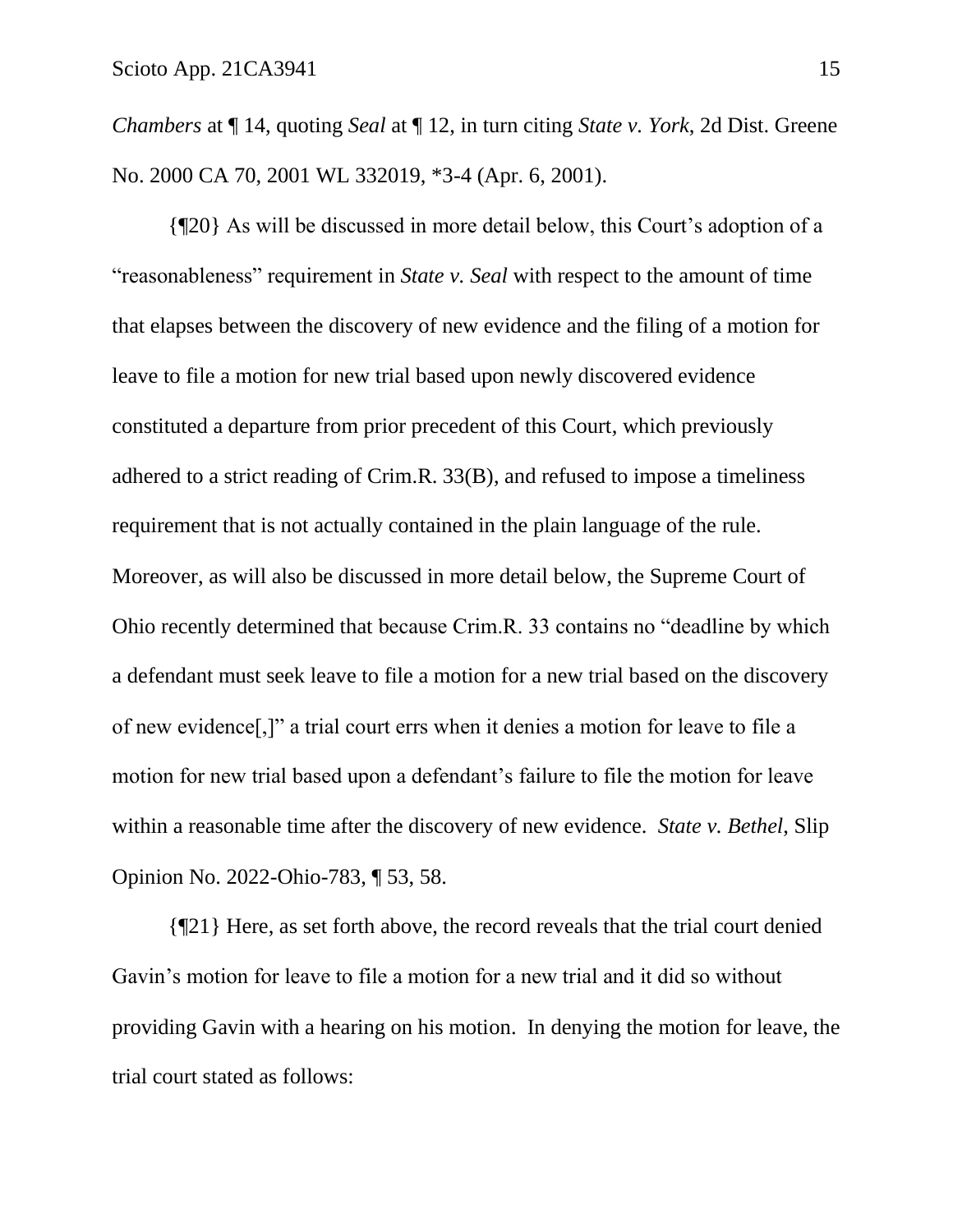*Chambers* at ¶ 14, quoting *Seal* at ¶ 12, in turn citing *State v. York*, 2d Dist. Greene No. 2000 CA 70, 2001 WL 332019, \*3-4 (Apr. 6, 2001).

{¶20} As will be discussed in more detail below, this Court's adoption of a "reasonableness" requirement in *State v. Seal* with respect to the amount of time that elapses between the discovery of new evidence and the filing of a motion for leave to file a motion for new trial based upon newly discovered evidence constituted a departure from prior precedent of this Court, which previously adhered to a strict reading of Crim.R. 33(B), and refused to impose a timeliness requirement that is not actually contained in the plain language of the rule. Moreover, as will also be discussed in more detail below, the Supreme Court of Ohio recently determined that because Crim.R. 33 contains no "deadline by which a defendant must seek leave to file a motion for a new trial based on the discovery of new evidence[,]" a trial court errs when it denies a motion for leave to file a motion for new trial based upon a defendant's failure to file the motion for leave within a reasonable time after the discovery of new evidence. *State v. Bethel*, Slip Opinion No. 2022-Ohio-783, ¶ 53, 58.

{¶21} Here, as set forth above, the record reveals that the trial court denied Gavin's motion for leave to file a motion for a new trial and it did so without providing Gavin with a hearing on his motion. In denying the motion for leave, the trial court stated as follows: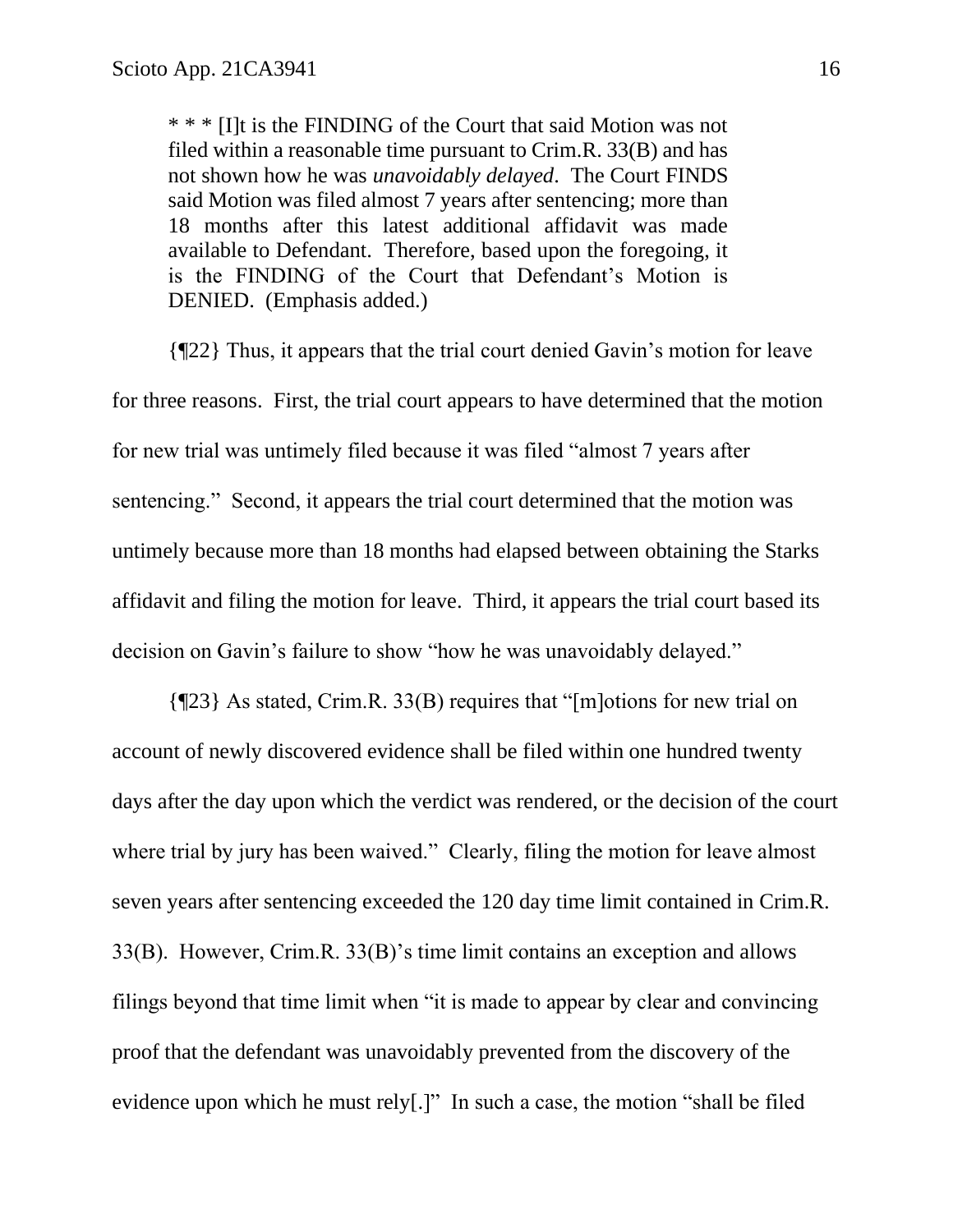\* \* \* [I]t is the FINDING of the Court that said Motion was not filed within a reasonable time pursuant to Crim.R. 33(B) and has not shown how he was *unavoidably delayed*. The Court FINDS said Motion was filed almost 7 years after sentencing; more than 18 months after this latest additional affidavit was made available to Defendant. Therefore, based upon the foregoing, it is the FINDING of the Court that Defendant's Motion is DENIED. (Emphasis added.)

{¶22} Thus, it appears that the trial court denied Gavin's motion for leave for three reasons. First, the trial court appears to have determined that the motion for new trial was untimely filed because it was filed "almost 7 years after sentencing." Second, it appears the trial court determined that the motion was untimely because more than 18 months had elapsed between obtaining the Starks affidavit and filing the motion for leave. Third, it appears the trial court based its decision on Gavin's failure to show "how he was unavoidably delayed."

{¶23} As stated, Crim.R. 33(B) requires that "[m]otions for new trial on account of newly discovered evidence shall be filed within one hundred twenty days after the day upon which the verdict was rendered, or the decision of the court where trial by jury has been waived." Clearly, filing the motion for leave almost seven years after sentencing exceeded the 120 day time limit contained in Crim.R. 33(B). However, Crim.R. 33(B)'s time limit contains an exception and allows filings beyond that time limit when "it is made to appear by clear and convincing proof that the defendant was unavoidably prevented from the discovery of the evidence upon which he must rely[.]" In such a case, the motion "shall be filed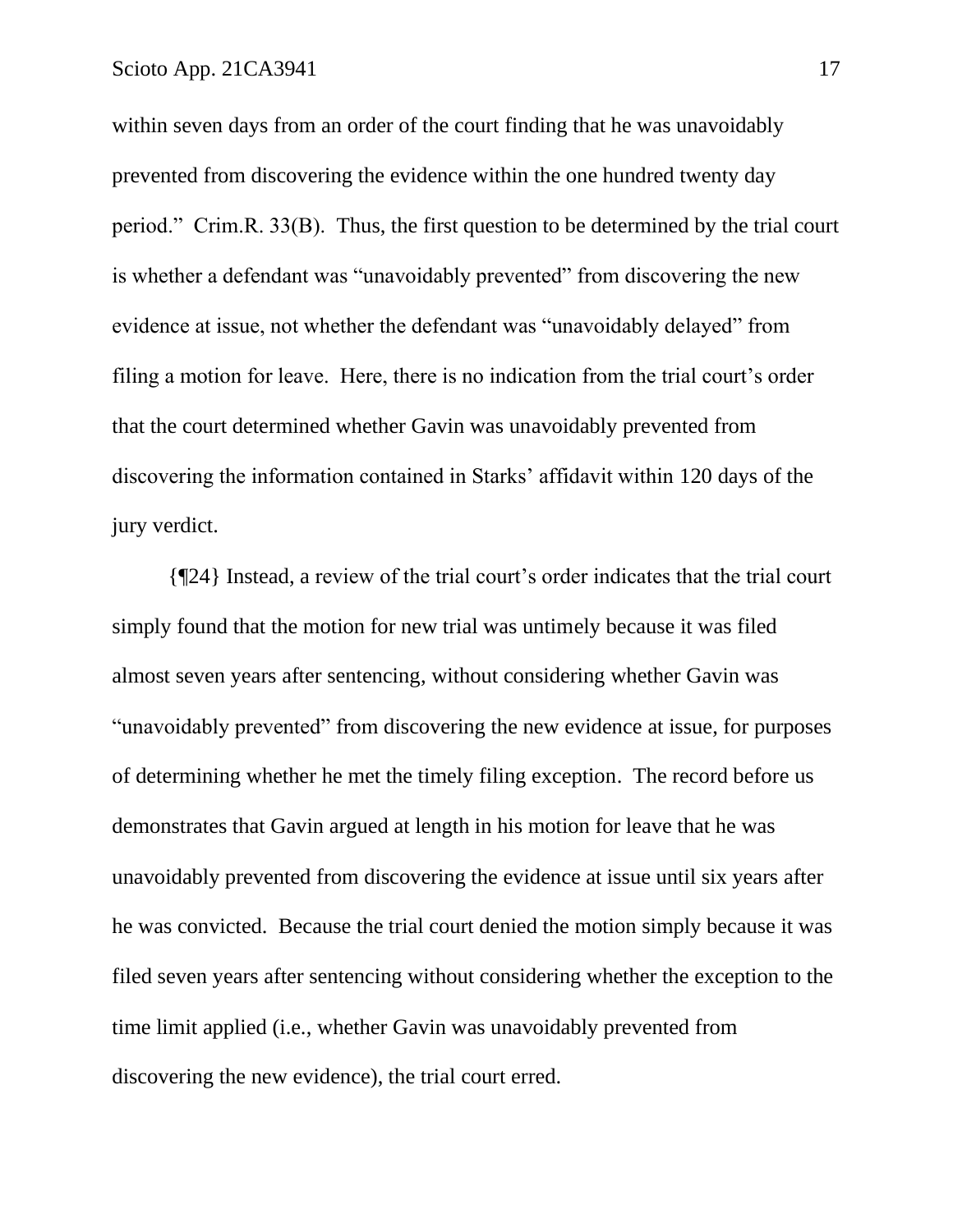within seven days from an order of the court finding that he was unavoidably prevented from discovering the evidence within the one hundred twenty day period." Crim.R. 33(B). Thus, the first question to be determined by the trial court is whether a defendant was "unavoidably prevented" from discovering the new evidence at issue, not whether the defendant was "unavoidably delayed" from filing a motion for leave. Here, there is no indication from the trial court's order that the court determined whether Gavin was unavoidably prevented from discovering the information contained in Starks' affidavit within 120 days of the jury verdict.

{¶24} Instead, a review of the trial court's order indicates that the trial court simply found that the motion for new trial was untimely because it was filed almost seven years after sentencing, without considering whether Gavin was "unavoidably prevented" from discovering the new evidence at issue, for purposes of determining whether he met the timely filing exception. The record before us demonstrates that Gavin argued at length in his motion for leave that he was unavoidably prevented from discovering the evidence at issue until six years after he was convicted. Because the trial court denied the motion simply because it was filed seven years after sentencing without considering whether the exception to the time limit applied (i.e., whether Gavin was unavoidably prevented from discovering the new evidence), the trial court erred.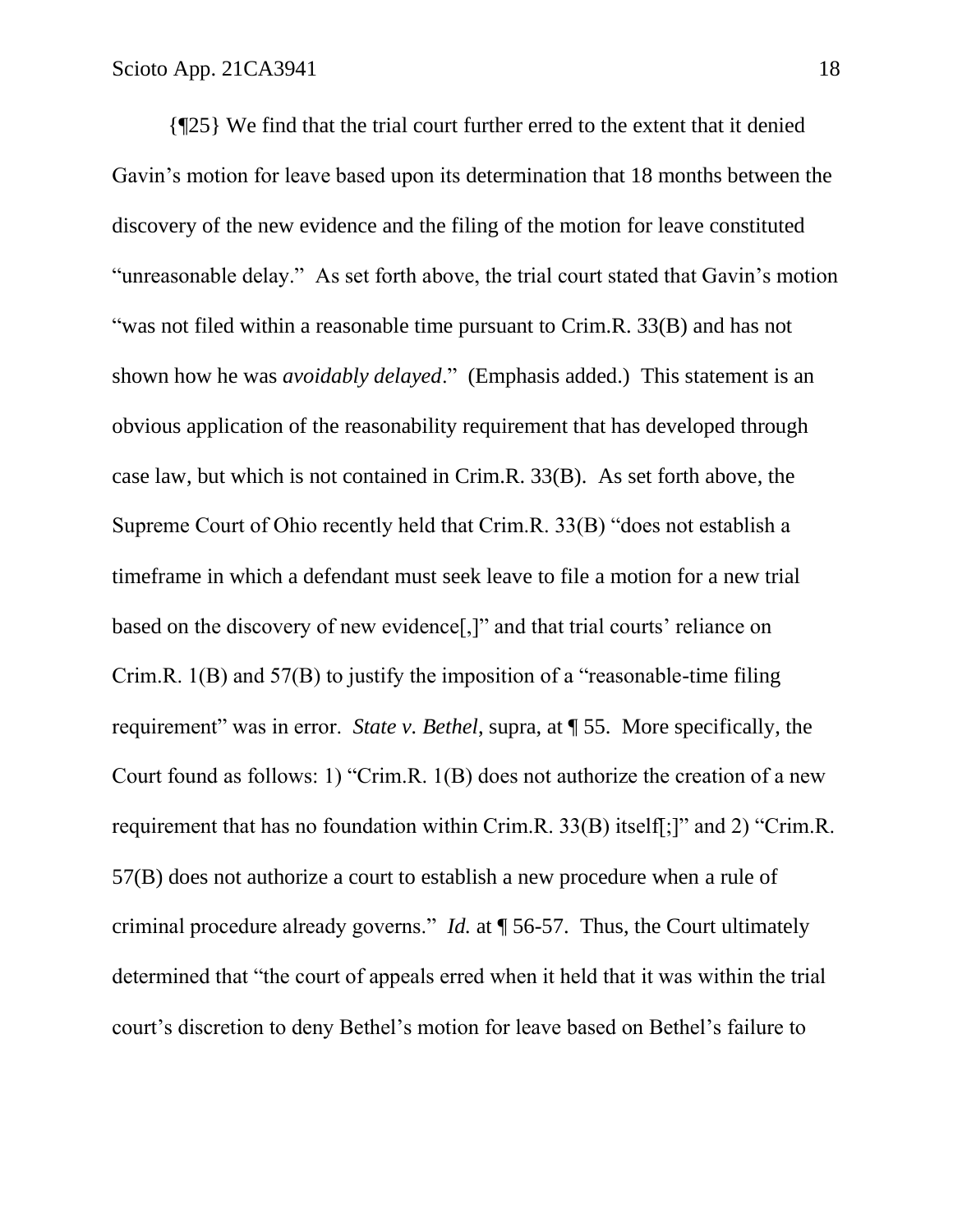{¶25} We find that the trial court further erred to the extent that it denied Gavin's motion for leave based upon its determination that 18 months between the discovery of the new evidence and the filing of the motion for leave constituted "unreasonable delay." As set forth above, the trial court stated that Gavin's motion "was not filed within a reasonable time pursuant to Crim.R. 33(B) and has not shown how he was *avoidably delayed*." (Emphasis added.) This statement is an obvious application of the reasonability requirement that has developed through case law, but which is not contained in Crim.R. 33(B). As set forth above, the Supreme Court of Ohio recently held that Crim.R. 33(B) "does not establish a timeframe in which a defendant must seek leave to file a motion for a new trial based on the discovery of new evidence[,]" and that trial courts' reliance on Crim.R. 1(B) and 57(B) to justify the imposition of a "reasonable-time filing requirement" was in error. *State v. Bethel*, supra, at ¶ 55. More specifically, the Court found as follows: 1) "Crim.R. 1(B) does not authorize the creation of a new requirement that has no foundation within Crim.R. 33(B) itself[;]" and 2) "Crim.R. 57(B) does not authorize a court to establish a new procedure when a rule of criminal procedure already governs." *Id.* at ¶ 56-57. Thus, the Court ultimately determined that "the court of appeals erred when it held that it was within the trial court's discretion to deny Bethel's motion for leave based on Bethel's failure to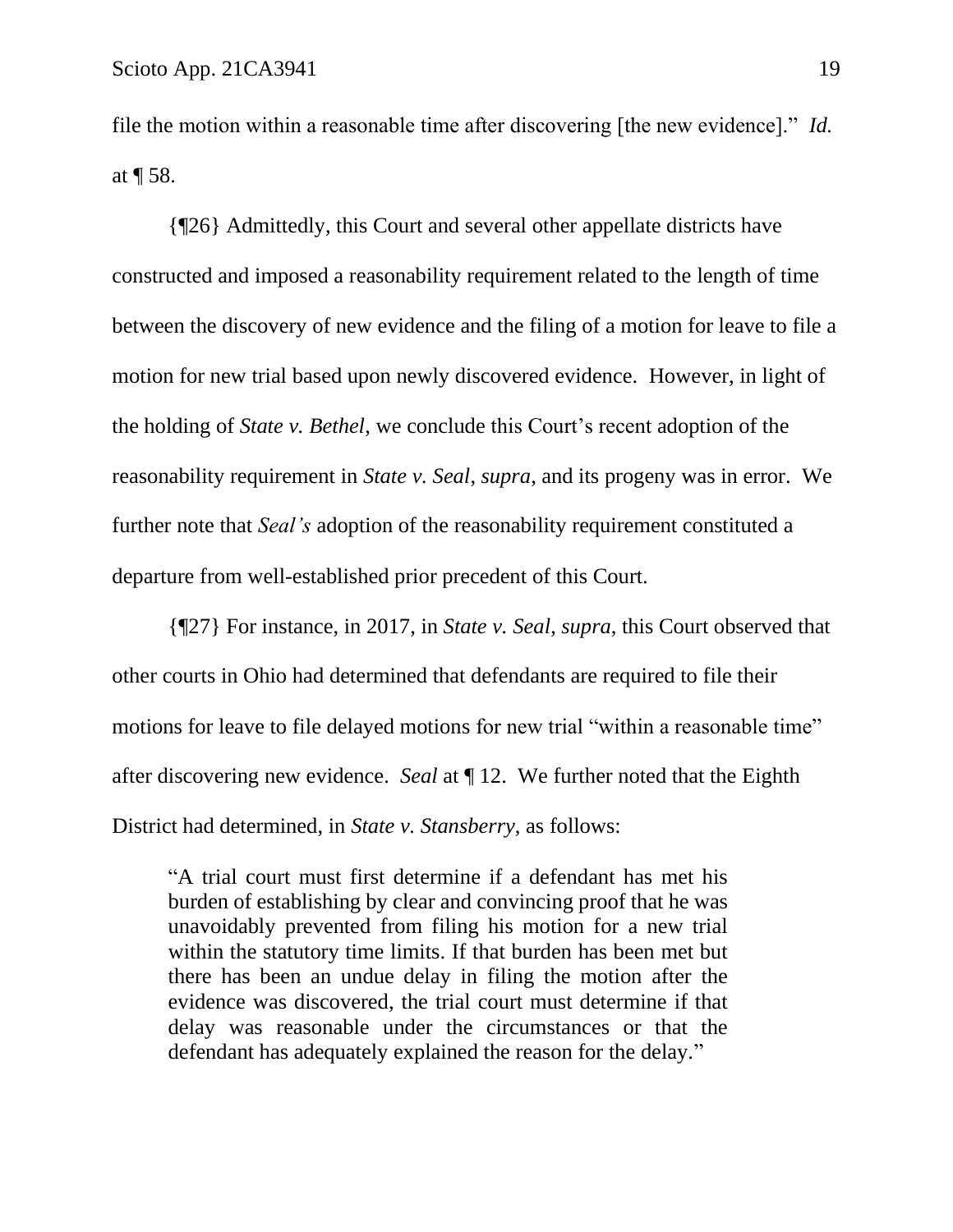file the motion within a reasonable time after discovering [the new evidence]." *Id.* at ¶ 58.

{¶26} Admittedly, this Court and several other appellate districts have constructed and imposed a reasonability requirement related to the length of time between the discovery of new evidence and the filing of a motion for leave to file a motion for new trial based upon newly discovered evidence. However, in light of the holding of *State v. Bethel*, we conclude this Court's recent adoption of the reasonability requirement in *State v. Seal*, *supra*, and its progeny was in error. We further note that *Seal's* adoption of the reasonability requirement constituted a departure from well-established prior precedent of this Court.

{¶27} For instance, in 2017, in *State v. Seal*, *supra*, this Court observed that other courts in Ohio had determined that defendants are required to file their motions for leave to file delayed motions for new trial "within a reasonable time" after discovering new evidence. *Seal* at ¶ 12. We further noted that the Eighth District had determined, in *State v. Stansberry*, as follows:

"A trial court must first determine if a defendant has met his burden of establishing by clear and convincing proof that he was unavoidably prevented from filing his motion for a new trial within the statutory time limits. If that burden has been met but there has been an undue delay in filing the motion after the evidence was discovered, the trial court must determine if that delay was reasonable under the circumstances or that the defendant has adequately explained the reason for the delay."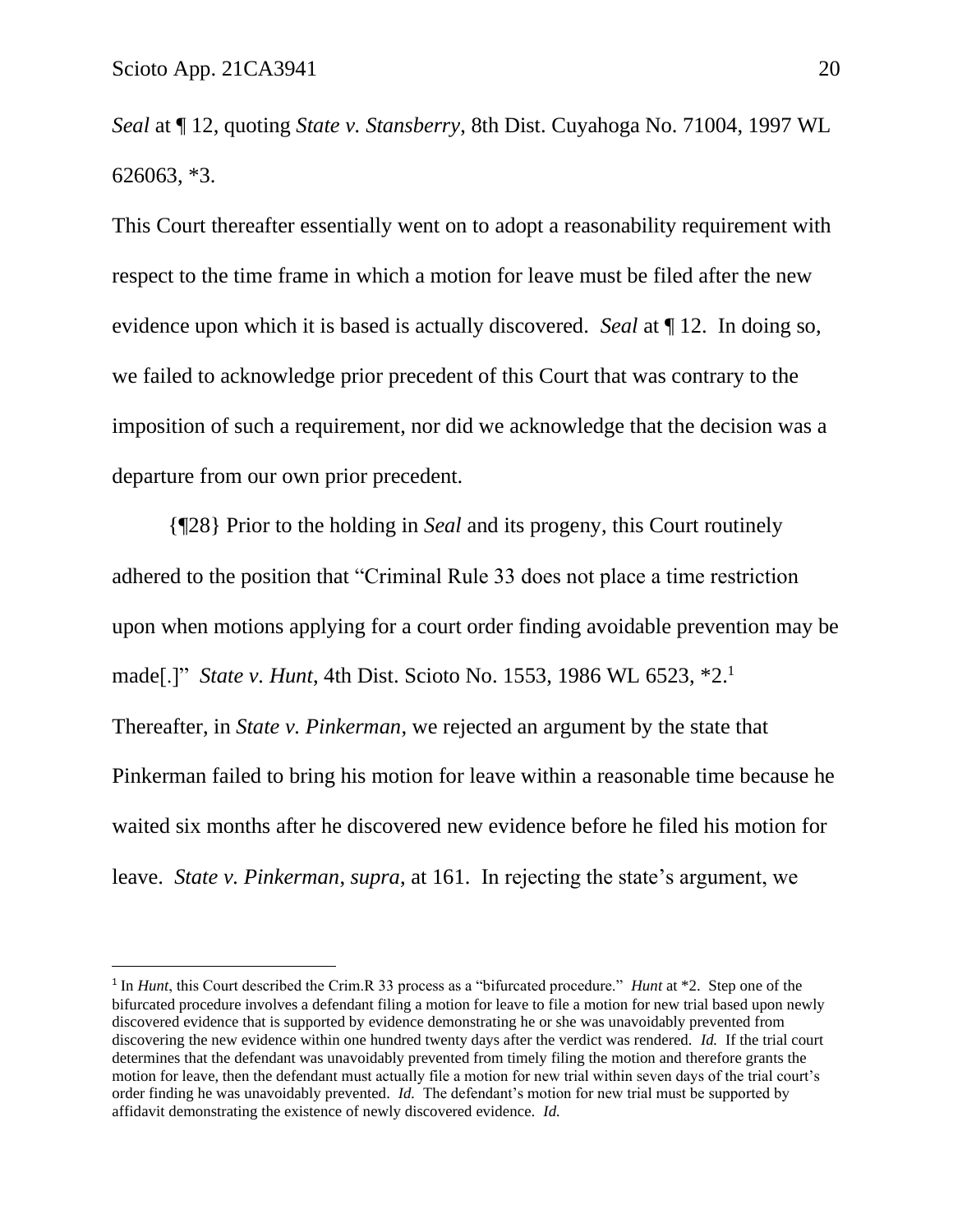*Seal* at ¶ 12, quoting *State v. Stansberry*, 8th Dist. Cuyahoga No. 71004, 1997 WL 626063, \*3.

This Court thereafter essentially went on to adopt a reasonability requirement with respect to the time frame in which a motion for leave must be filed after the new evidence upon which it is based is actually discovered. *Seal* at ¶ 12. In doing so, we failed to acknowledge prior precedent of this Court that was contrary to the imposition of such a requirement, nor did we acknowledge that the decision was a departure from our own prior precedent.

{¶28} Prior to the holding in *Seal* and its progeny, this Court routinely adhered to the position that "Criminal Rule 33 does not place a time restriction upon when motions applying for a court order finding avoidable prevention may be made[.]" *State v. Hunt*, 4th Dist. Scioto No. 1553, 1986 WL 6523, \*2. 1 Thereafter, in *State v. Pinkerman*, we rejected an argument by the state that Pinkerman failed to bring his motion for leave within a reasonable time because he waited six months after he discovered new evidence before he filed his motion for leave. *State v. Pinkerman*, *supra*, at 161. In rejecting the state's argument, we

<sup>&</sup>lt;sup>1</sup> In *Hunt*, this Court described the Crim.R 33 process as a "bifurcated procedure." *Hunt* at \*2. Step one of the bifurcated procedure involves a defendant filing a motion for leave to file a motion for new trial based upon newly discovered evidence that is supported by evidence demonstrating he or she was unavoidably prevented from discovering the new evidence within one hundred twenty days after the verdict was rendered. *Id.* If the trial court determines that the defendant was unavoidably prevented from timely filing the motion and therefore grants the motion for leave, then the defendant must actually file a motion for new trial within seven days of the trial court's order finding he was unavoidably prevented. *Id.* The defendant's motion for new trial must be supported by affidavit demonstrating the existence of newly discovered evidence. *Id.*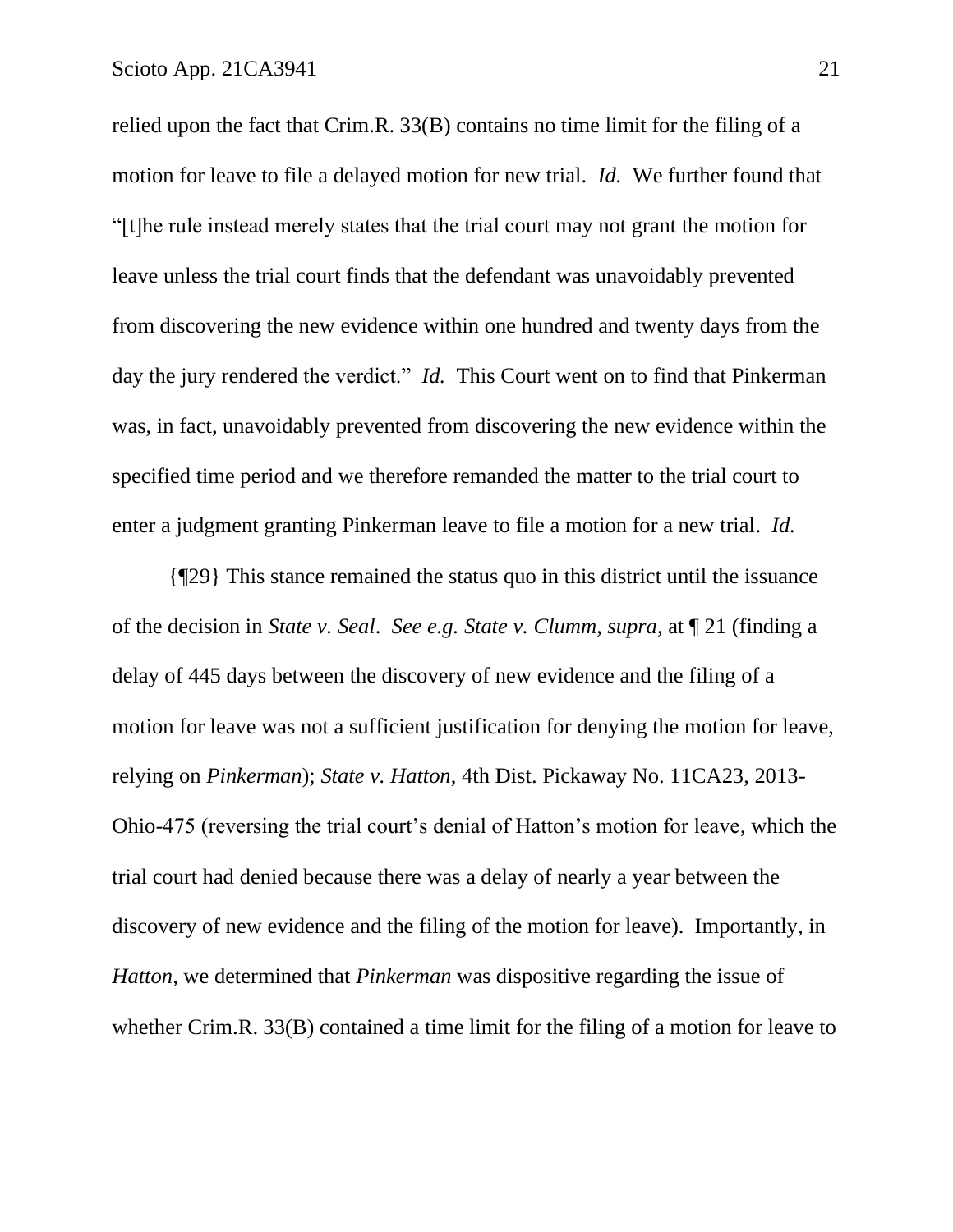relied upon the fact that Crim.R. 33(B) contains no time limit for the filing of a motion for leave to file a delayed motion for new trial. *Id.* We further found that "[t]he rule instead merely states that the trial court may not grant the motion for leave unless the trial court finds that the defendant was unavoidably prevented from discovering the new evidence within one hundred and twenty days from the day the jury rendered the verdict." *Id.* This Court went on to find that Pinkerman was, in fact, unavoidably prevented from discovering the new evidence within the specified time period and we therefore remanded the matter to the trial court to enter a judgment granting Pinkerman leave to file a motion for a new trial. *Id.*

{¶29} This stance remained the status quo in this district until the issuance of the decision in *State v. Seal*. *See e.g. State v. Clumm*, *supra*, at ¶ 21 (finding a delay of 445 days between the discovery of new evidence and the filing of a motion for leave was not a sufficient justification for denying the motion for leave, relying on *Pinkerman*); *State v. Hatton*, 4th Dist. Pickaway No. 11CA23, 2013- Ohio-475 (reversing the trial court's denial of Hatton's motion for leave, which the trial court had denied because there was a delay of nearly a year between the discovery of new evidence and the filing of the motion for leave). Importantly, in *Hatton*, we determined that *Pinkerman* was dispositive regarding the issue of whether Crim.R. 33(B) contained a time limit for the filing of a motion for leave to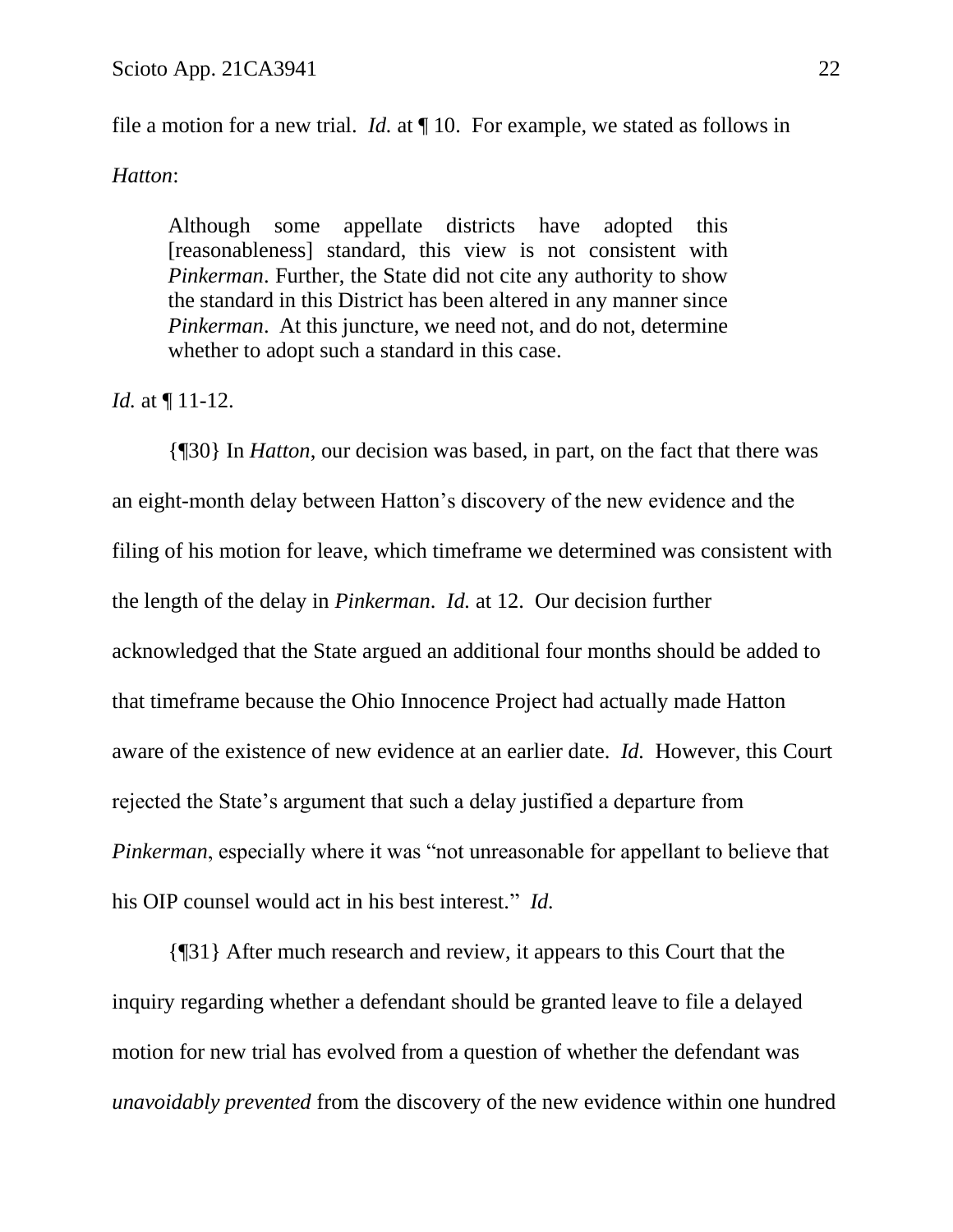file a motion for a new trial. *Id.* at ¶ 10. For example, we stated as follows in

#### *Hatton*:

Although some appellate districts have adopted this [reasonableness] standard, this view is not consistent with *Pinkerman*. Further, the State did not cite any authority to show the standard in this District has been altered in any manner since *Pinkerman*. At this juncture, we need not, and do not, determine whether to adopt such a standard in this case.

## *Id.* at ¶ 11-12.

{¶30} In *Hatton*, our decision was based, in part, on the fact that there was an eight-month delay between Hatton's discovery of the new evidence and the filing of his motion for leave, which timeframe we determined was consistent with the length of the delay in *Pinkerman*. *Id.* at 12. Our decision further acknowledged that the State argued an additional four months should be added to that timeframe because the Ohio Innocence Project had actually made Hatton aware of the existence of new evidence at an earlier date. *Id.* However, this Court rejected the State's argument that such a delay justified a departure from *Pinkerman*, especially where it was "not unreasonable for appellant to believe that his OIP counsel would act in his best interest." *Id.*

{¶31} After much research and review, it appears to this Court that the inquiry regarding whether a defendant should be granted leave to file a delayed motion for new trial has evolved from a question of whether the defendant was *unavoidably prevented* from the discovery of the new evidence within one hundred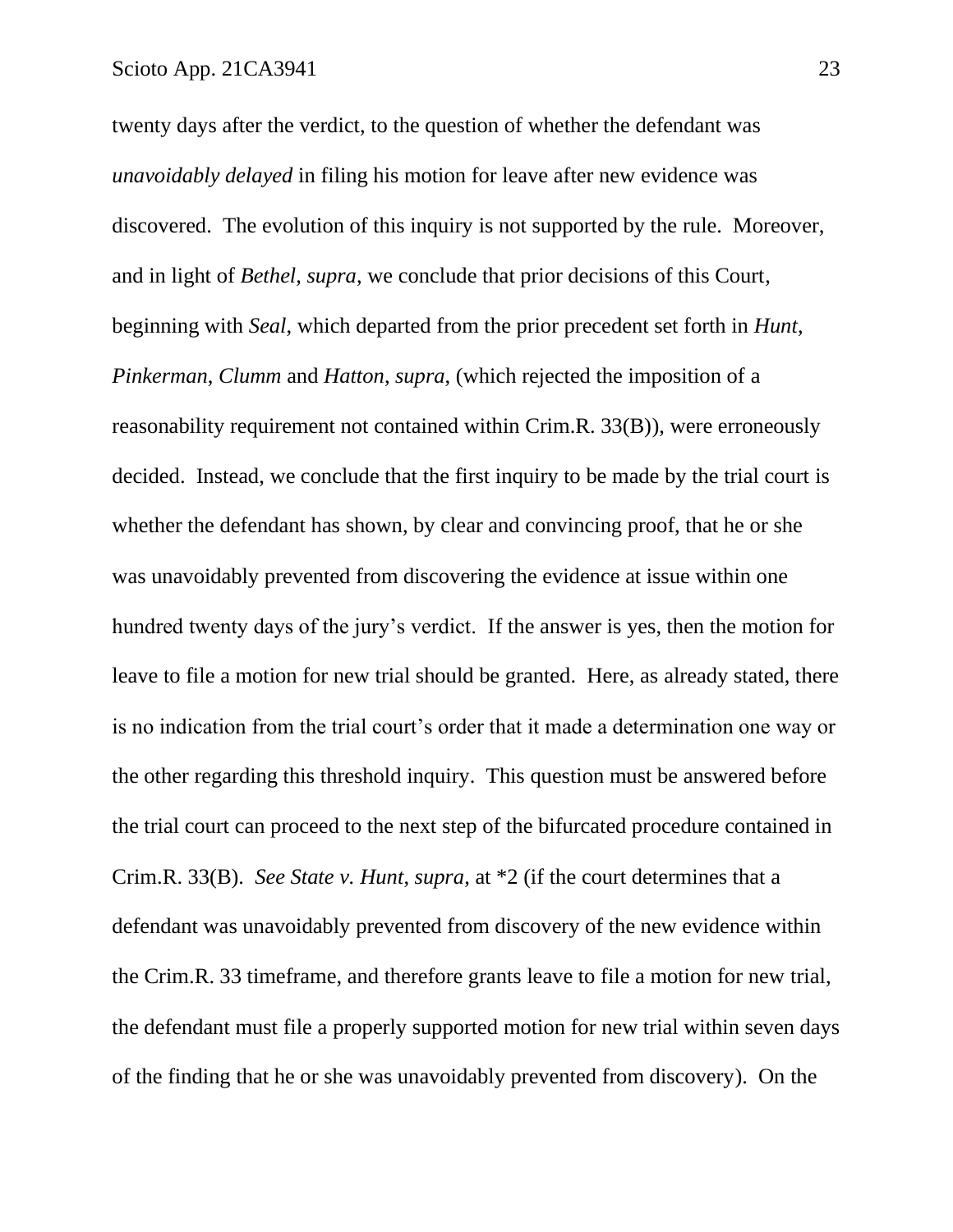twenty days after the verdict, to the question of whether the defendant was *unavoidably delayed* in filing his motion for leave after new evidence was discovered. The evolution of this inquiry is not supported by the rule. Moreover, and in light of *Bethel*, *supra*, we conclude that prior decisions of this Court, beginning with *Seal*, which departed from the prior precedent set forth in *Hunt*, *Pinkerman*, *Clumm* and *Hatton*, *supra*, (which rejected the imposition of a reasonability requirement not contained within Crim.R. 33(B)), were erroneously decided. Instead, we conclude that the first inquiry to be made by the trial court is whether the defendant has shown, by clear and convincing proof, that he or she was unavoidably prevented from discovering the evidence at issue within one hundred twenty days of the jury's verdict. If the answer is yes, then the motion for leave to file a motion for new trial should be granted. Here, as already stated, there is no indication from the trial court's order that it made a determination one way or the other regarding this threshold inquiry. This question must be answered before the trial court can proceed to the next step of the bifurcated procedure contained in Crim.R. 33(B). *See State v. Hunt*, *supra*, at \*2 (if the court determines that a defendant was unavoidably prevented from discovery of the new evidence within the Crim.R. 33 timeframe, and therefore grants leave to file a motion for new trial, the defendant must file a properly supported motion for new trial within seven days of the finding that he or she was unavoidably prevented from discovery). On the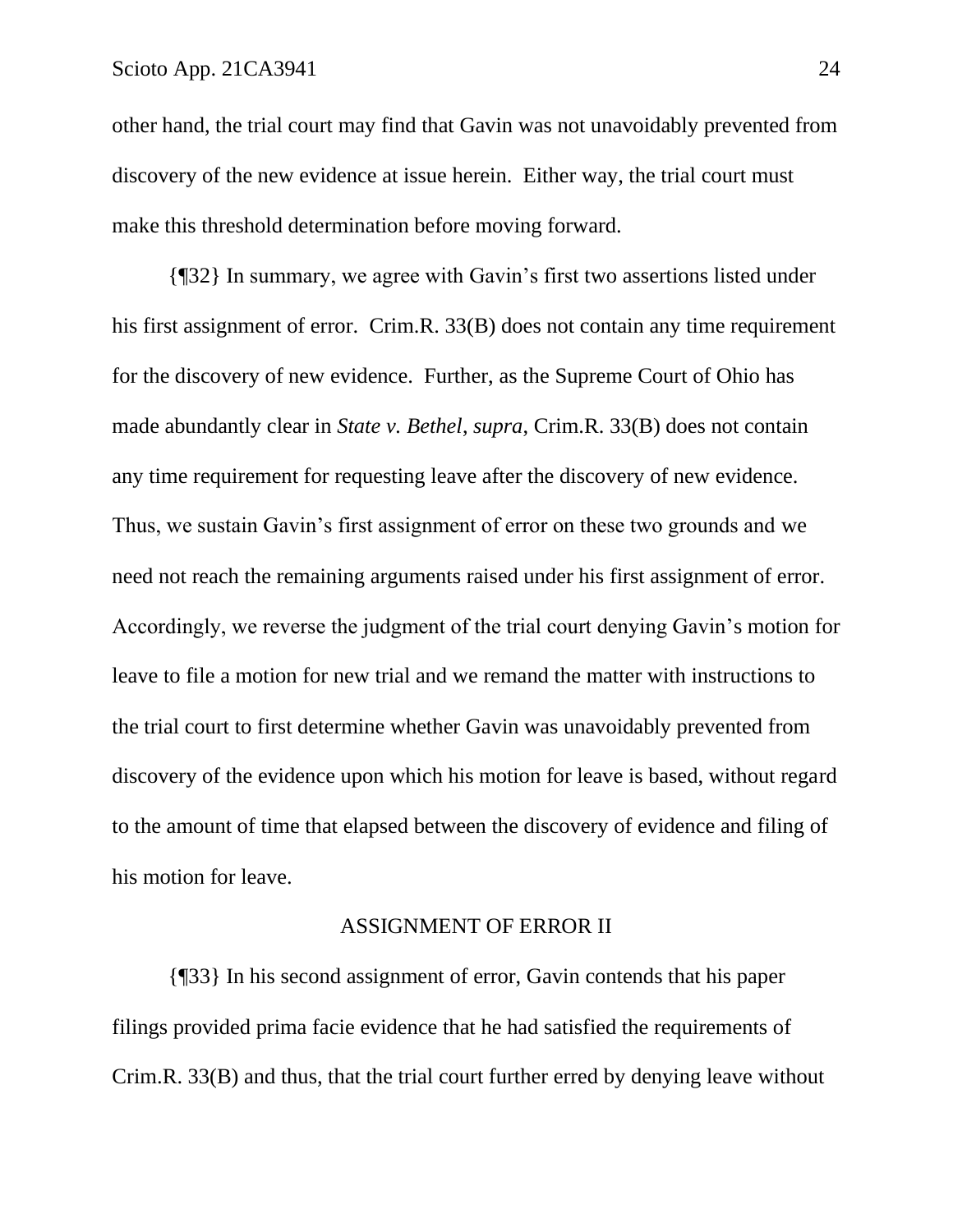other hand, the trial court may find that Gavin was not unavoidably prevented from discovery of the new evidence at issue herein. Either way, the trial court must make this threshold determination before moving forward.

{¶32} In summary, we agree with Gavin's first two assertions listed under his first assignment of error. Crim.R. 33(B) does not contain any time requirement for the discovery of new evidence. Further, as the Supreme Court of Ohio has made abundantly clear in *State v. Bethel*, *supra*, Crim.R. 33(B) does not contain any time requirement for requesting leave after the discovery of new evidence. Thus, we sustain Gavin's first assignment of error on these two grounds and we need not reach the remaining arguments raised under his first assignment of error. Accordingly, we reverse the judgment of the trial court denying Gavin's motion for leave to file a motion for new trial and we remand the matter with instructions to the trial court to first determine whether Gavin was unavoidably prevented from discovery of the evidence upon which his motion for leave is based, without regard to the amount of time that elapsed between the discovery of evidence and filing of his motion for leave.

### ASSIGNMENT OF ERROR II

{¶33} In his second assignment of error, Gavin contends that his paper filings provided prima facie evidence that he had satisfied the requirements of Crim.R. 33(B) and thus, that the trial court further erred by denying leave without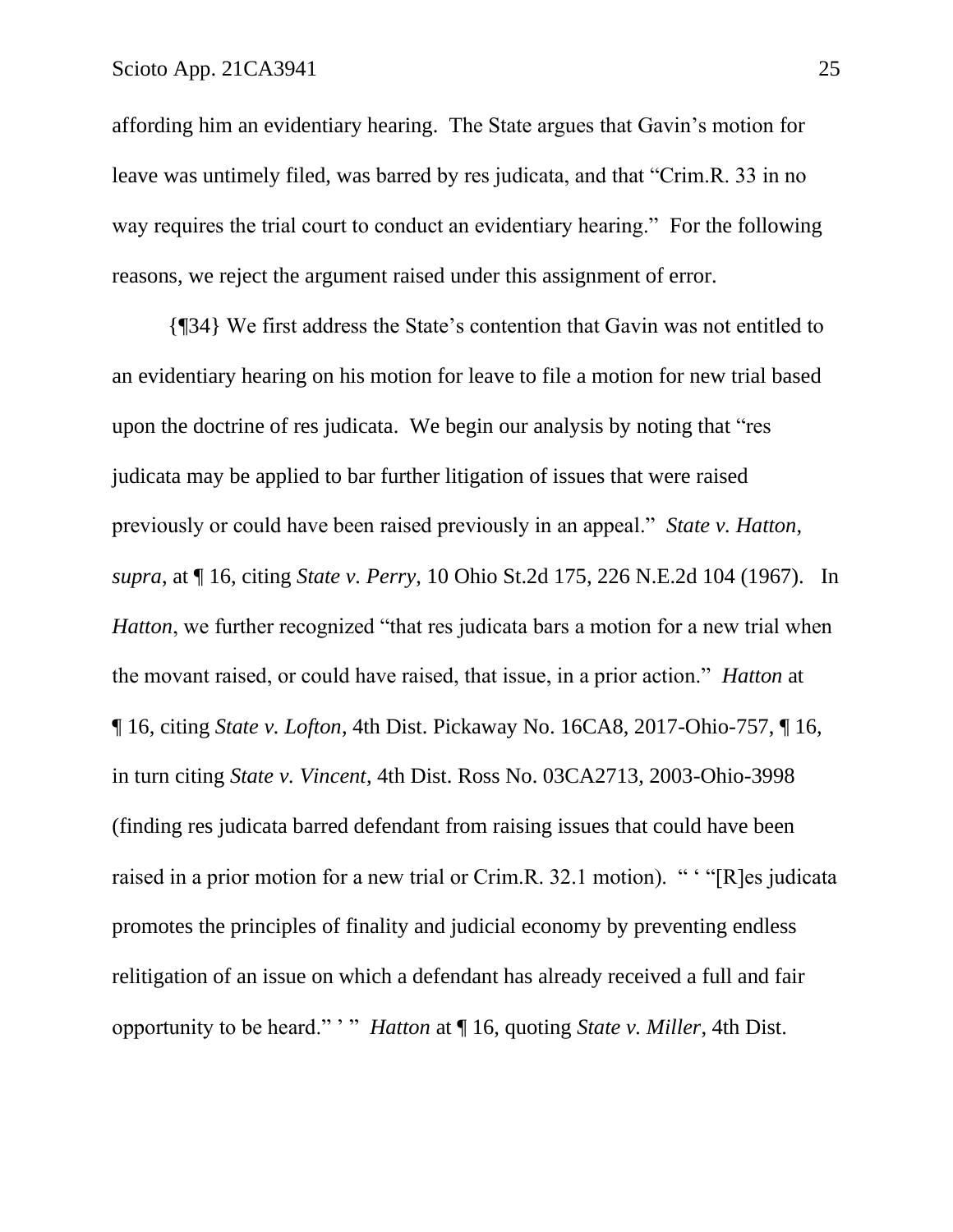affording him an evidentiary hearing. The State argues that Gavin's motion for leave was untimely filed, was barred by res judicata, and that "Crim.R. 33 in no way requires the trial court to conduct an evidentiary hearing." For the following reasons, we reject the argument raised under this assignment of error.

{¶34} We first address the State's contention that Gavin was not entitled to an evidentiary hearing on his motion for leave to file a motion for new trial based upon the doctrine of res judicata. We begin our analysis by noting that "res judicata may be applied to bar further litigation of issues that were raised previously or could have been raised previously in an appeal." *State v. Hatton*, *supra*, at ¶ 16, citing *State v. Perry*, 10 Ohio St.2d 175, 226 N.E.2d 104 (1967). In *Hatton*, we further recognized "that res judicata bars a motion for a new trial when the movant raised, or could have raised, that issue, in a prior action." *Hatton* at ¶ 16, citing *State v. Lofton*, 4th Dist. Pickaway No. 16CA8, 2017-Ohio-757, ¶ 16, in turn citing *State v. Vincent*, 4th Dist. Ross No. 03CA2713, 2003-Ohio-3998 (finding res judicata barred defendant from raising issues that could have been raised in a prior motion for a new trial or Crim.R. 32.1 motion). " ' "[R]es judicata promotes the principles of finality and judicial economy by preventing endless relitigation of an issue on which a defendant has already received a full and fair opportunity to be heard." ' " *Hatton* at ¶ 16, quoting *State v. Miller*, 4th Dist.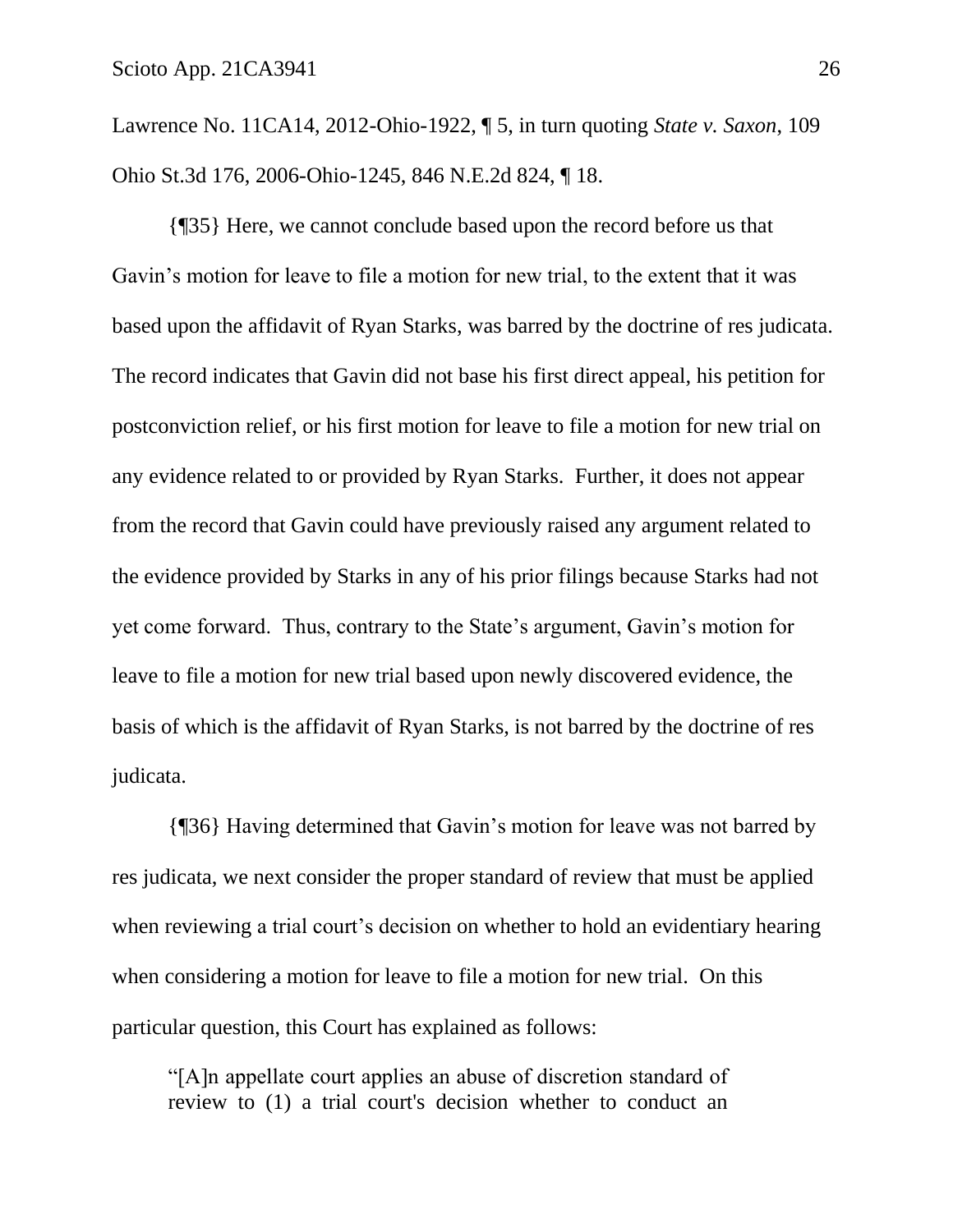Lawrence No. 11CA14, 2012-Ohio-1922, ¶ 5, in turn quoting *State v. Saxon*, 109 Ohio St.3d 176, 2006-Ohio-1245, 846 N.E.2d 824, ¶ 18.

{¶35} Here, we cannot conclude based upon the record before us that Gavin's motion for leave to file a motion for new trial, to the extent that it was based upon the affidavit of Ryan Starks, was barred by the doctrine of res judicata. The record indicates that Gavin did not base his first direct appeal, his petition for postconviction relief, or his first motion for leave to file a motion for new trial on any evidence related to or provided by Ryan Starks. Further, it does not appear from the record that Gavin could have previously raised any argument related to the evidence provided by Starks in any of his prior filings because Starks had not yet come forward. Thus, contrary to the State's argument, Gavin's motion for leave to file a motion for new trial based upon newly discovered evidence, the basis of which is the affidavit of Ryan Starks, is not barred by the doctrine of res judicata.

{¶36} Having determined that Gavin's motion for leave was not barred by res judicata, we next consider the proper standard of review that must be applied when reviewing a trial court's decision on whether to hold an evidentiary hearing when considering a motion for leave to file a motion for new trial. On this particular question, this Court has explained as follows:

"[A]n appellate court applies an abuse of discretion standard of review to (1) a trial court's decision whether to conduct an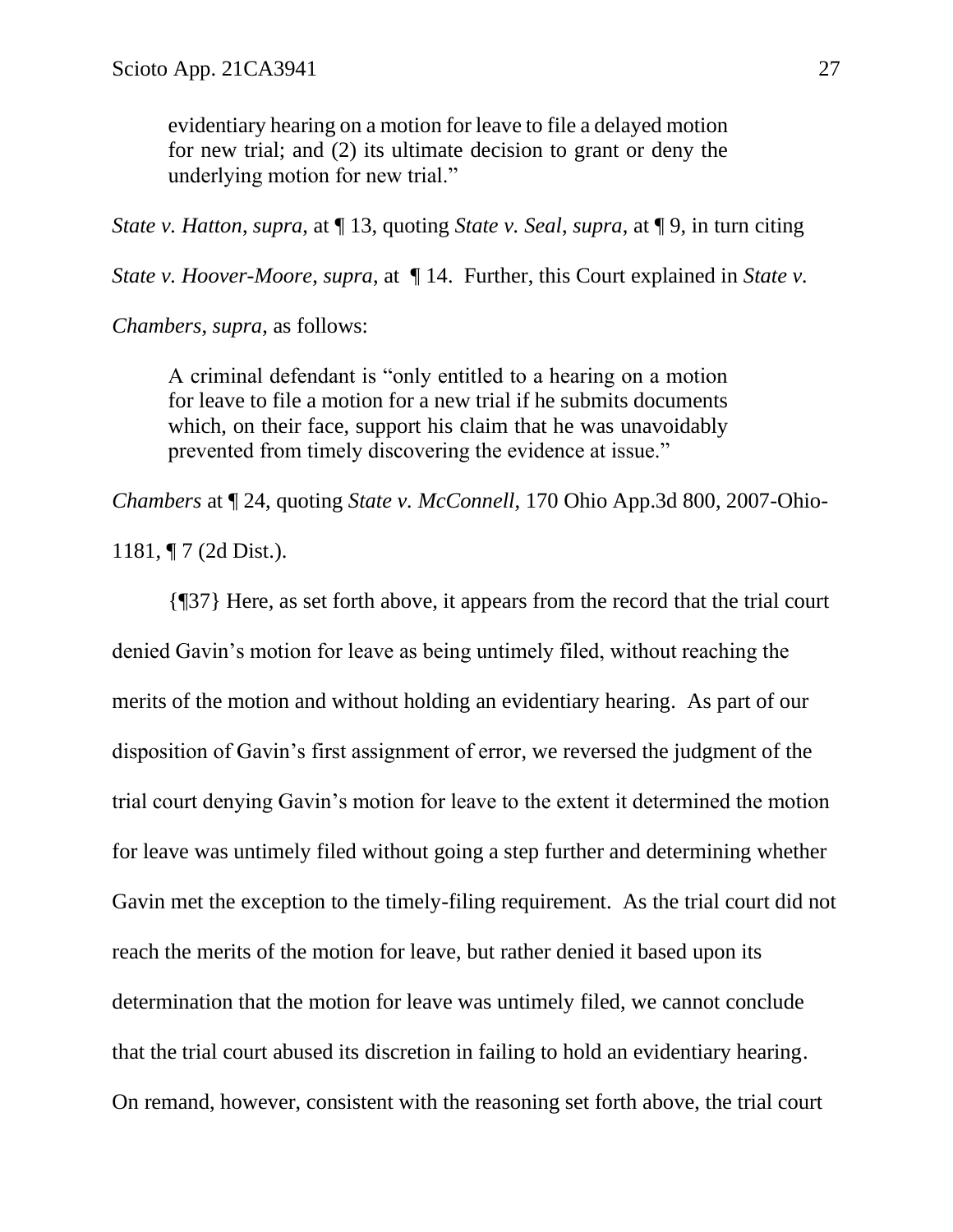evidentiary hearing on a motion for leave to file a delayed motion for new trial; and (2) its ultimate decision to grant or deny the underlying motion for new trial."

*State v. Hatton*, *supra*, at ¶ 13, quoting *State v. Seal*, *supra*, at ¶ 9, in turn citing

*State v. Hoover-Moore, supra, at*  $\P 14$ . Further, this Court explained in *State v.* 

*Chambers*, *supra*, as follows:

A criminal defendant is "only entitled to a hearing on a motion for leave to file a motion for a new trial if he submits documents which, on their face, support his claim that he was unavoidably prevented from timely discovering the evidence at issue."

*Chambers* at ¶ 24, quoting *State v. McConnell*, 170 Ohio App.3d 800, 2007-Ohio-

1181, ¶ 7 (2d Dist.).

{¶37} Here, as set forth above, it appears from the record that the trial court denied Gavin's motion for leave as being untimely filed, without reaching the merits of the motion and without holding an evidentiary hearing. As part of our disposition of Gavin's first assignment of error, we reversed the judgment of the trial court denying Gavin's motion for leave to the extent it determined the motion for leave was untimely filed without going a step further and determining whether Gavin met the exception to the timely-filing requirement. As the trial court did not reach the merits of the motion for leave, but rather denied it based upon its determination that the motion for leave was untimely filed, we cannot conclude that the trial court abused its discretion in failing to hold an evidentiary hearing. On remand, however, consistent with the reasoning set forth above, the trial court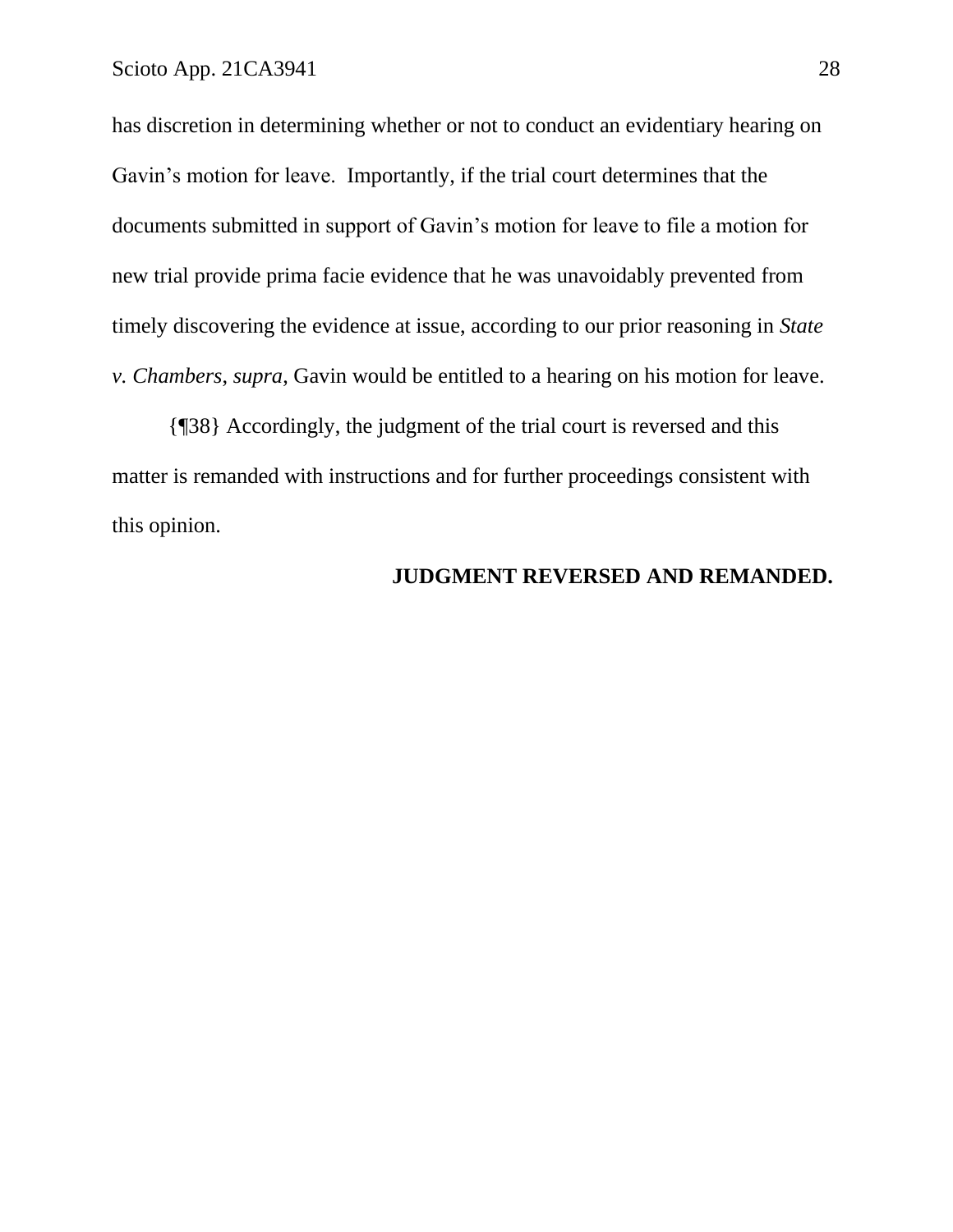has discretion in determining whether or not to conduct an evidentiary hearing on Gavin's motion for leave. Importantly, if the trial court determines that the documents submitted in support of Gavin's motion for leave to file a motion for new trial provide prima facie evidence that he was unavoidably prevented from timely discovering the evidence at issue, according to our prior reasoning in *State v. Chambers*, *supra*, Gavin would be entitled to a hearing on his motion for leave.

{¶38} Accordingly, the judgment of the trial court is reversed and this matter is remanded with instructions and for further proceedings consistent with this opinion.

### **JUDGMENT REVERSED AND REMANDED.**